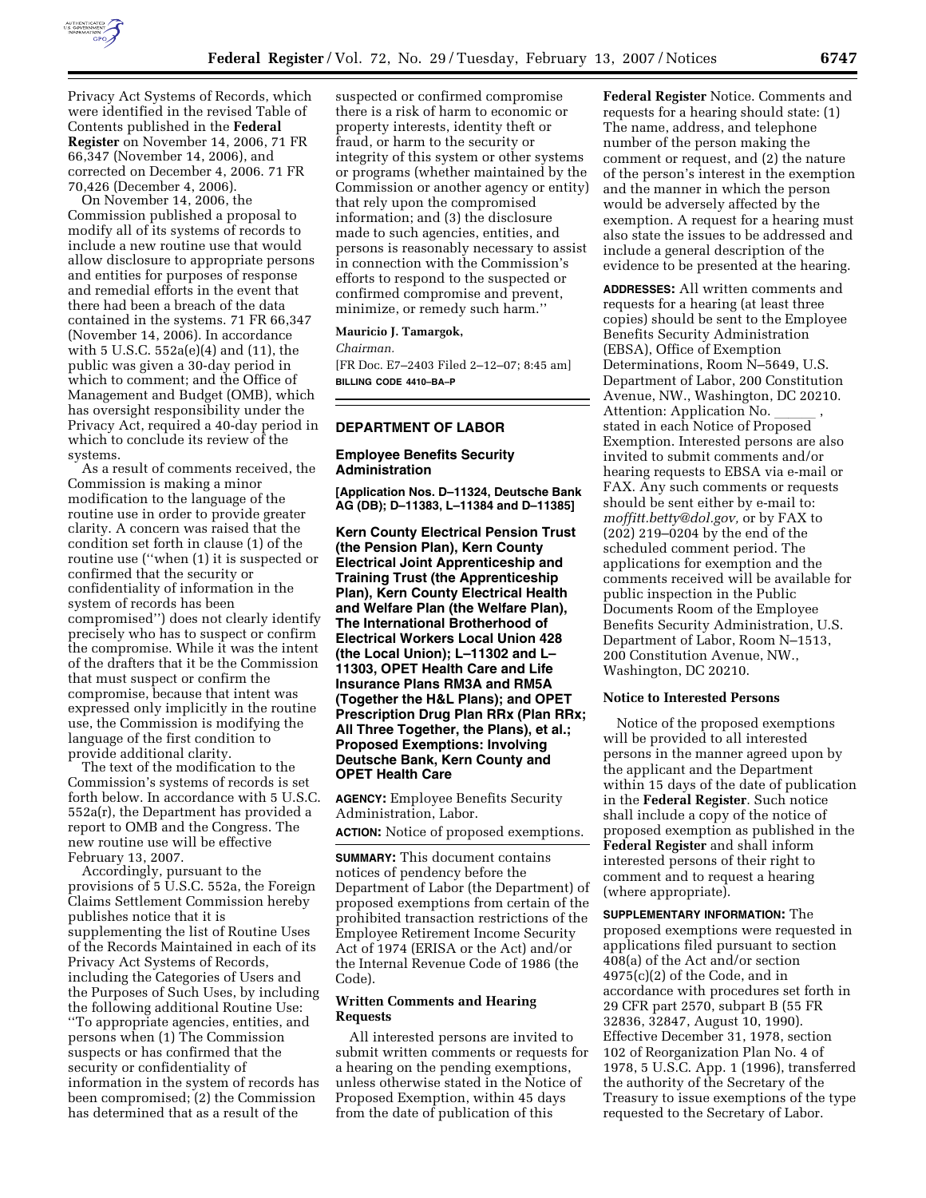

Privacy Act Systems of Records, which were identified in the revised Table of Contents published in the **Federal Register** on November 14, 2006, 71 FR 66,347 (November 14, 2006), and corrected on December 4, 2006. 71 FR 70,426 (December 4, 2006).

On November 14, 2006, the Commission published a proposal to modify all of its systems of records to include a new routine use that would allow disclosure to appropriate persons and entities for purposes of response and remedial efforts in the event that there had been a breach of the data contained in the systems. 71 FR 66,347 (November 14, 2006). In accordance with 5 U.S.C. 552a(e)(4) and (11), the public was given a 30-day period in which to comment; and the Office of Management and Budget (OMB), which has oversight responsibility under the Privacy Act, required a 40-day period in which to conclude its review of the systems.

As a result of comments received, the Commission is making a minor modification to the language of the routine use in order to provide greater clarity. A concern was raised that the condition set forth in clause (1) of the routine use (''when (1) it is suspected or confirmed that the security or confidentiality of information in the system of records has been compromised'') does not clearly identify precisely who has to suspect or confirm the compromise. While it was the intent of the drafters that it be the Commission that must suspect or confirm the compromise, because that intent was expressed only implicitly in the routine use, the Commission is modifying the language of the first condition to provide additional clarity.

The text of the modification to the Commission's systems of records is set forth below. In accordance with 5 U.S.C. 552a(r), the Department has provided a report to OMB and the Congress. The new routine use will be effective February 13, 2007.

Accordingly, pursuant to the provisions of 5 U.S.C. 552a, the Foreign Claims Settlement Commission hereby publishes notice that it is supplementing the list of Routine Uses of the Records Maintained in each of its Privacy Act Systems of Records, including the Categories of Users and the Purposes of Such Uses, by including the following additional Routine Use: ''To appropriate agencies, entities, and persons when (1) The Commission suspects or has confirmed that the security or confidentiality of information in the system of records has been compromised; (2) the Commission has determined that as a result of the

suspected or confirmed compromise there is a risk of harm to economic or property interests, identity theft or fraud, or harm to the security or integrity of this system or other systems or programs (whether maintained by the Commission or another agency or entity) that rely upon the compromised information; and (3) the disclosure made to such agencies, entities, and persons is reasonably necessary to assist in connection with the Commission's efforts to respond to the suspected or confirmed compromise and prevent, minimize, or remedy such harm.''

## **Mauricio J. Tamargok,**

*Chairman.*  [FR Doc. E7–2403 Filed 2–12–07; 8:45 am] **BILLING CODE 4410–BA–P** 

## **DEPARTMENT OF LABOR**

## **Employee Benefits Security Administration**

**[Application Nos. D–11324, Deutsche Bank AG (DB); D–11383, L–11384 and D–11385]** 

**Kern County Electrical Pension Trust (the Pension Plan), Kern County Electrical Joint Apprenticeship and Training Trust (the Apprenticeship Plan), Kern County Electrical Health and Welfare Plan (the Welfare Plan), The International Brotherhood of Electrical Workers Local Union 428 (the Local Union); L–11302 and L– 11303, OPET Health Care and Life Insurance Plans RM3A and RM5A (Together the H&L Plans); and OPET Prescription Drug Plan RRx (Plan RRx; All Three Together, the Plans), et al.; Proposed Exemptions: Involving Deutsche Bank, Kern County and OPET Health Care** 

**AGENCY:** Employee Benefits Security Administration, Labor.

**ACTION:** Notice of proposed exemptions.

**SUMMARY:** This document contains notices of pendency before the Department of Labor (the Department) of proposed exemptions from certain of the prohibited transaction restrictions of the Employee Retirement Income Security Act of 1974 (ERISA or the Act) and/or the Internal Revenue Code of 1986 (the Code).

## **Written Comments and Hearing Requests**

All interested persons are invited to submit written comments or requests for a hearing on the pending exemptions, unless otherwise stated in the Notice of Proposed Exemption, within 45 days from the date of publication of this

**Federal Register** Notice. Comments and requests for a hearing should state: (1) The name, address, and telephone number of the person making the comment or request, and (2) the nature of the person's interest in the exemption and the manner in which the person would be adversely affected by the exemption. A request for a hearing must also state the issues to be addressed and include a general description of the evidence to be presented at the hearing.

**ADDRESSES:** All written comments and requests for a hearing (at least three copies) should be sent to the Employee Benefits Security Administration (EBSA), Office of Exemption Determinations, Room N–5649, U.S. Department of Labor, 200 Constitution Avenue, NW., Washington, DC 20210. Attention: Application No. \_\_\_\_\_\_ ,<br>stated in each Notice of Proposed Exemption. Interested persons are also invited to submit comments and/or hearing requests to EBSA via e-mail or FAX. Any such comments or requests should be sent either by e-mail to: *moffitt.betty@dol.gov,* or by FAX to (202) 219–0204 by the end of the scheduled comment period. The applications for exemption and the comments received will be available for public inspection in the Public Documents Room of the Employee Benefits Security Administration, U.S. Department of Labor, Room N–1513, 200 Constitution Avenue, NW., Washington, DC 20210.

## **Notice to Interested Persons**

Notice of the proposed exemptions will be provided to all interested persons in the manner agreed upon by the applicant and the Department within 15 days of the date of publication in the **Federal Register**. Such notice shall include a copy of the notice of proposed exemption as published in the **Federal Register** and shall inform interested persons of their right to comment and to request a hearing (where appropriate).

**SUPPLEMENTARY INFORMATION:** The proposed exemptions were requested in applications filed pursuant to section 408(a) of the Act and/or section 4975(c)(2) of the Code, and in accordance with procedures set forth in 29 CFR part 2570, subpart B (55 FR 32836, 32847, August 10, 1990). Effective December 31, 1978, section 102 of Reorganization Plan No. 4 of 1978, 5 U.S.C. App. 1 (1996), transferred the authority of the Secretary of the Treasury to issue exemptions of the type requested to the Secretary of Labor.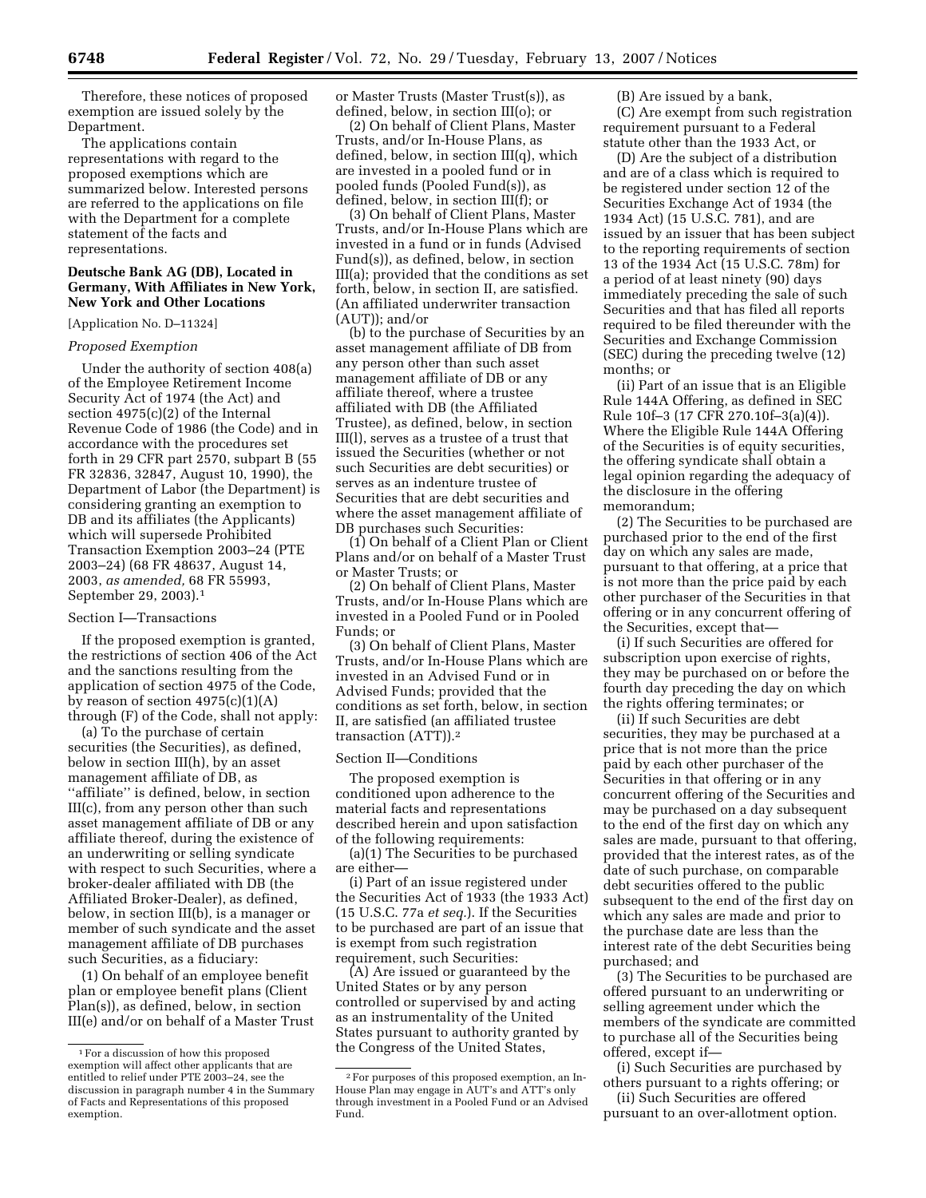Therefore, these notices of proposed exemption are issued solely by the Department.

The applications contain representations with regard to the proposed exemptions which are summarized below. Interested persons are referred to the applications on file with the Department for a complete statement of the facts and representations.

# **Deutsche Bank AG (DB), Located in Germany, With Affiliates in New York, New York and Other Locations**

#### [Application No. D–11324]

## *Proposed Exemption*

Under the authority of section 408(a) of the Employee Retirement Income Security Act of 1974 (the Act) and section 4975(c)(2) of the Internal Revenue Code of 1986 (the Code) and in accordance with the procedures set forth in 29 CFR part 2570, subpart B (55 FR 32836, 32847, August 10, 1990), the Department of Labor (the Department) is considering granting an exemption to DB and its affiliates (the Applicants) which will supersede Prohibited Transaction Exemption 2003–24 (PTE 2003–24) (68 FR 48637, August 14, 2003, *as amended,* 68 FR 55993, September 29, 2003).1

#### Section I—Transactions

If the proposed exemption is granted, the restrictions of section 406 of the Act and the sanctions resulting from the application of section 4975 of the Code, by reason of section  $4975(c)(1)(A)$ through (F) of the Code, shall not apply:

(a) To the purchase of certain securities (the Securities), as defined, below in section III(h), by an asset management affiliate of DB, as ''affiliate'' is defined, below, in section III(c), from any person other than such asset management affiliate of DB or any affiliate thereof, during the existence of an underwriting or selling syndicate with respect to such Securities, where a broker-dealer affiliated with DB (the Affiliated Broker-Dealer), as defined, below, in section III(b), is a manager or member of such syndicate and the asset management affiliate of DB purchases such Securities, as a fiduciary:

(1) On behalf of an employee benefit plan or employee benefit plans (Client Plan(s)), as defined, below, in section III(e) and/or on behalf of a Master Trust or Master Trusts (Master Trust(s)), as defined, below, in section III(o); or

(2) On behalf of Client Plans, Master Trusts, and/or In-House Plans, as defined, below, in section III(q), which are invested in a pooled fund or in pooled funds (Pooled Fund(s)), as defined, below, in section III(f); or

(3) On behalf of Client Plans, Master Trusts, and/or In-House Plans which are invested in a fund or in funds (Advised Fund(s)), as defined, below, in section III(a); provided that the conditions as set forth, below, in section II, are satisfied. (An affiliated underwriter transaction (AUT)); and/or

(b) to the purchase of Securities by an asset management affiliate of DB from any person other than such asset management affiliate of DB or any affiliate thereof, where a trustee affiliated with DB (the Affiliated Trustee), as defined, below, in section III(l), serves as a trustee of a trust that issued the Securities (whether or not such Securities are debt securities) or serves as an indenture trustee of Securities that are debt securities and where the asset management affiliate of DB purchases such Securities:

(1) On behalf of a Client Plan or Client Plans and/or on behalf of a Master Trust or Master Trusts; or

(2) On behalf of Client Plans, Master Trusts, and/or In-House Plans which are invested in a Pooled Fund or in Pooled Funds; or

(3) On behalf of Client Plans, Master Trusts, and/or In-House Plans which are invested in an Advised Fund or in Advised Funds; provided that the conditions as set forth, below, in section II, are satisfied (an affiliated trustee transaction (ATT)).2

#### Section II—Conditions

The proposed exemption is conditioned upon adherence to the material facts and representations described herein and upon satisfaction of the following requirements:

(a)(1) The Securities to be purchased are either—

(i) Part of an issue registered under the Securities Act of 1933 (the 1933 Act) (15 U.S.C. 77a *et seq.*). If the Securities to be purchased are part of an issue that is exempt from such registration requirement, such Securities:

(A) Are issued or guaranteed by the United States or by any person controlled or supervised by and acting as an instrumentality of the United States pursuant to authority granted by the Congress of the United States,

(B) Are issued by a bank,

(C) Are exempt from such registration requirement pursuant to a Federal statute other than the 1933 Act, or

(D) Are the subject of a distribution and are of a class which is required to be registered under section 12 of the Securities Exchange Act of 1934 (the 1934 Act) (15 U.S.C. 781), and are issued by an issuer that has been subject to the reporting requirements of section 13 of the 1934 Act (15 U.S.C. 78m) for a period of at least ninety (90) days immediately preceding the sale of such Securities and that has filed all reports required to be filed thereunder with the Securities and Exchange Commission (SEC) during the preceding twelve (12) months; or

(ii) Part of an issue that is an Eligible Rule 144A Offering, as defined in SEC Rule 10f–3 (17 CFR 270.10f–3(a)(4)). Where the Eligible Rule 144A Offering of the Securities is of equity securities, the offering syndicate shall obtain a legal opinion regarding the adequacy of the disclosure in the offering memorandum;

(2) The Securities to be purchased are purchased prior to the end of the first day on which any sales are made, pursuant to that offering, at a price that is not more than the price paid by each other purchaser of the Securities in that offering or in any concurrent offering of the Securities, except that—

(i) If such Securities are offered for subscription upon exercise of rights, they may be purchased on or before the fourth day preceding the day on which the rights offering terminates; or

(ii) If such Securities are debt securities, they may be purchased at a price that is not more than the price paid by each other purchaser of the Securities in that offering or in any concurrent offering of the Securities and may be purchased on a day subsequent to the end of the first day on which any sales are made, pursuant to that offering, provided that the interest rates, as of the date of such purchase, on comparable debt securities offered to the public subsequent to the end of the first day on which any sales are made and prior to the purchase date are less than the interest rate of the debt Securities being purchased; and

(3) The Securities to be purchased are offered pursuant to an underwriting or selling agreement under which the members of the syndicate are committed to purchase all of the Securities being offered, except if—

(i) Such Securities are purchased by others pursuant to a rights offering; or

(ii) Such Securities are offered pursuant to an over-allotment option.

<sup>1</sup>For a discussion of how this proposed exemption will affect other applicants that are entitled to relief under PTE 2003–24, see the discussion in paragraph number 4 in the Summary of Facts and Representations of this proposed exemption.

<sup>2</sup>For purposes of this proposed exemption, an In-House Plan may engage in AUT's and ATT's only through investment in a Pooled Fund or an Advised Fund.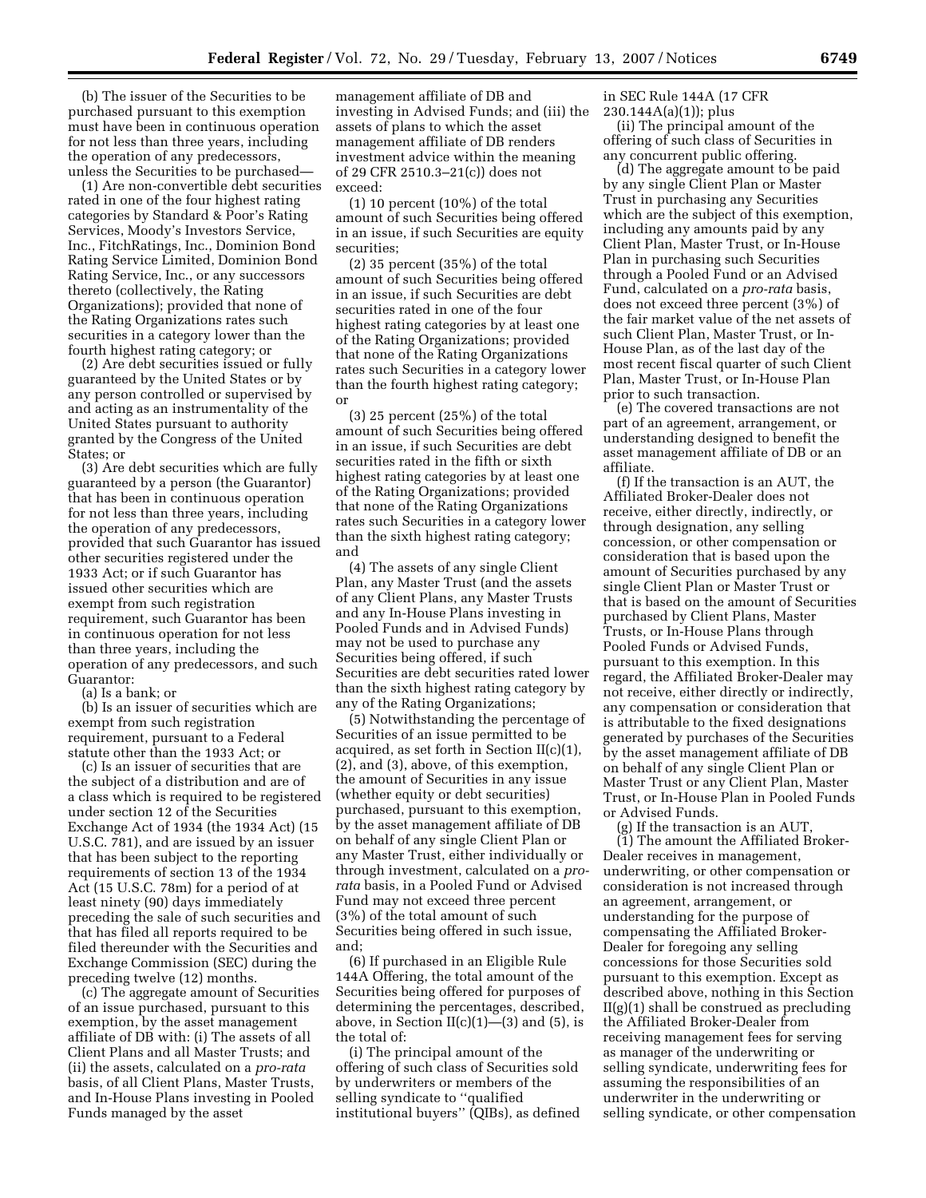(b) The issuer of the Securities to be purchased pursuant to this exemption must have been in continuous operation for not less than three years, including the operation of any predecessors, unless the Securities to be purchased—

(1) Are non-convertible debt securities rated in one of the four highest rating categories by Standard & Poor's Rating Services, Moody's Investors Service, Inc., FitchRatings, Inc., Dominion Bond Rating Service Limited, Dominion Bond Rating Service, Inc., or any successors thereto (collectively, the Rating Organizations); provided that none of the Rating Organizations rates such securities in a category lower than the fourth highest rating category; or

(2) Are debt securities issued or fully guaranteed by the United States or by any person controlled or supervised by and acting as an instrumentality of the United States pursuant to authority granted by the Congress of the United States; or

(3) Are debt securities which are fully guaranteed by a person (the Guarantor) that has been in continuous operation for not less than three years, including the operation of any predecessors, provided that such Guarantor has issued other securities registered under the 1933 Act; or if such Guarantor has issued other securities which are exempt from such registration requirement, such Guarantor has been in continuous operation for not less than three years, including the operation of any predecessors, and such Guarantor:

(a) Is a bank; or

(b) Is an issuer of securities which are exempt from such registration requirement, pursuant to a Federal statute other than the 1933 Act; or

(c) Is an issuer of securities that are the subject of a distribution and are of a class which is required to be registered under section 12 of the Securities Exchange Act of 1934 (the 1934 Act) (15 U.S.C. 781), and are issued by an issuer that has been subject to the reporting requirements of section 13 of the 1934 Act (15 U.S.C. 78m) for a period of at least ninety (90) days immediately preceding the sale of such securities and that has filed all reports required to be filed thereunder with the Securities and Exchange Commission (SEC) during the preceding twelve (12) months.

(c) The aggregate amount of Securities of an issue purchased, pursuant to this exemption, by the asset management affiliate of DB with: (i) The assets of all Client Plans and all Master Trusts; and (ii) the assets, calculated on a *pro-rata*  basis, of all Client Plans, Master Trusts, and In-House Plans investing in Pooled Funds managed by the asset

management affiliate of DB and investing in Advised Funds; and (iii) the assets of plans to which the asset management affiliate of DB renders investment advice within the meaning of 29 CFR 2510.3–21(c)) does not exceed:

 $(1)$  10 percent  $(10\%)$  of the total amount of such Securities being offered in an issue, if such Securities are equity securities;

(2) 35 percent (35%) of the total amount of such Securities being offered in an issue, if such Securities are debt securities rated in one of the four highest rating categories by at least one of the Rating Organizations; provided that none of the Rating Organizations rates such Securities in a category lower than the fourth highest rating category; or

(3) 25 percent (25%) of the total amount of such Securities being offered in an issue, if such Securities are debt securities rated in the fifth or sixth highest rating categories by at least one of the Rating Organizations; provided that none of the Rating Organizations rates such Securities in a category lower than the sixth highest rating category; and

(4) The assets of any single Client Plan, any Master Trust (and the assets of any Client Plans, any Master Trusts and any In-House Plans investing in Pooled Funds and in Advised Funds) may not be used to purchase any Securities being offered, if such Securities are debt securities rated lower than the sixth highest rating category by any of the Rating Organizations;

(5) Notwithstanding the percentage of Securities of an issue permitted to be acquired, as set forth in Section II(c)(1), (2), and (3), above, of this exemption, the amount of Securities in any issue (whether equity or debt securities) purchased, pursuant to this exemption, by the asset management affiliate of DB on behalf of any single Client Plan or any Master Trust, either individually or through investment, calculated on a *prorata* basis, in a Pooled Fund or Advised Fund may not exceed three percent (3%) of the total amount of such Securities being offered in such issue, and;

(6) If purchased in an Eligible Rule 144A Offering, the total amount of the Securities being offered for purposes of determining the percentages, described, above, in Section  $II(c)(1)$ — $(3)$  and  $(5)$ , is the total of:

(i) The principal amount of the offering of such class of Securities sold by underwriters or members of the selling syndicate to ''qualified institutional buyers'' (QIBs), as defined

in SEC Rule 144A (17 CFR 230.144A(a)(1)); plus

(ii) The principal amount of the offering of such class of Securities in any concurrent public offering.

(d) The aggregate amount to be paid by any single Client Plan or Master Trust in purchasing any Securities which are the subject of this exemption, including any amounts paid by any Client Plan, Master Trust, or In-House Plan in purchasing such Securities through a Pooled Fund or an Advised Fund, calculated on a *pro-rata* basis, does not exceed three percent (3%) of the fair market value of the net assets of such Client Plan, Master Trust, or In-House Plan, as of the last day of the most recent fiscal quarter of such Client Plan, Master Trust, or In-House Plan prior to such transaction.

(e) The covered transactions are not part of an agreement, arrangement, or understanding designed to benefit the asset management affiliate of DB or an affiliate.

(f) If the transaction is an AUT, the Affiliated Broker-Dealer does not receive, either directly, indirectly, or through designation, any selling concession, or other compensation or consideration that is based upon the amount of Securities purchased by any single Client Plan or Master Trust or that is based on the amount of Securities purchased by Client Plans, Master Trusts, or In-House Plans through Pooled Funds or Advised Funds, pursuant to this exemption. In this regard, the Affiliated Broker-Dealer may not receive, either directly or indirectly, any compensation or consideration that is attributable to the fixed designations generated by purchases of the Securities by the asset management affiliate of DB on behalf of any single Client Plan or Master Trust or any Client Plan, Master Trust, or In-House Plan in Pooled Funds or Advised Funds.

(g) If the transaction is an AUT, (1) The amount the Affiliated Broker-Dealer receives in management, underwriting, or other compensation or consideration is not increased through an agreement, arrangement, or understanding for the purpose of compensating the Affiliated Broker-Dealer for foregoing any selling concessions for those Securities sold pursuant to this exemption. Except as described above, nothing in this Section II(g)(1) shall be construed as precluding the Affiliated Broker-Dealer from receiving management fees for serving as manager of the underwriting or selling syndicate, underwriting fees for assuming the responsibilities of an underwriter in the underwriting or selling syndicate, or other compensation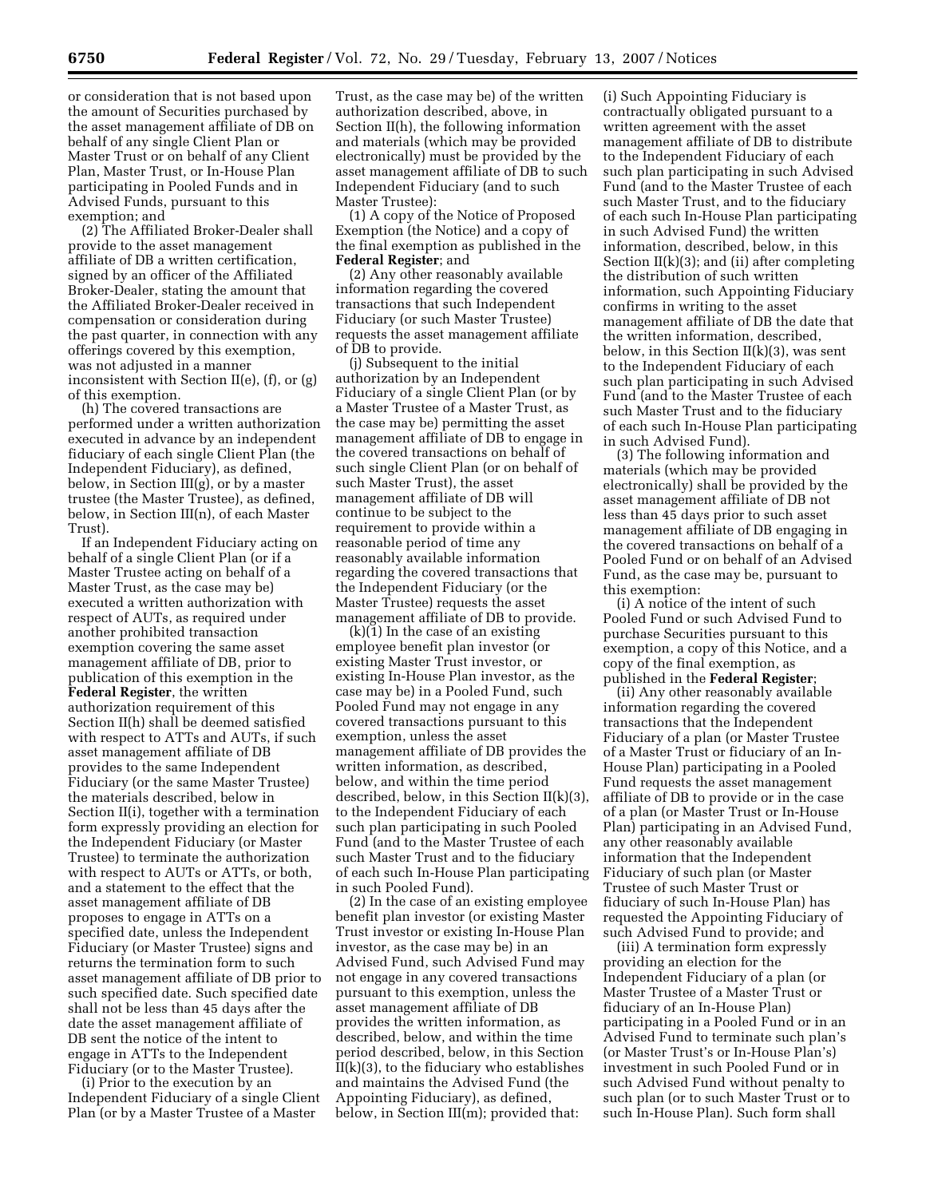or consideration that is not based upon the amount of Securities purchased by the asset management affiliate of DB on behalf of any single Client Plan or Master Trust or on behalf of any Client Plan, Master Trust, or In-House Plan participating in Pooled Funds and in Advised Funds, pursuant to this exemption; and

(2) The Affiliated Broker-Dealer shall provide to the asset management affiliate of DB a written certification, signed by an officer of the Affiliated Broker-Dealer, stating the amount that the Affiliated Broker-Dealer received in compensation or consideration during the past quarter, in connection with any offerings covered by this exemption, was not adjusted in a manner inconsistent with Section II(e), (f), or (g) of this exemption.

(h) The covered transactions are performed under a written authorization executed in advance by an independent fiduciary of each single Client Plan (the Independent Fiduciary), as defined, below, in Section III(g), or by a master trustee (the Master Trustee), as defined, below, in Section III(n), of each Master Trust).

If an Independent Fiduciary acting on behalf of a single Client Plan (or if a Master Trustee acting on behalf of a Master Trust, as the case may be) executed a written authorization with respect of AUTs, as required under another prohibited transaction exemption covering the same asset management affiliate of DB, prior to publication of this exemption in the **Federal Register**, the written authorization requirement of this Section II(h) shall be deemed satisfied with respect to ATTs and AUTs, if such asset management affiliate of DB provides to the same Independent Fiduciary (or the same Master Trustee) the materials described, below in Section II(i), together with a termination form expressly providing an election for the Independent Fiduciary (or Master Trustee) to terminate the authorization with respect to AUTs or ATTs, or both, and a statement to the effect that the asset management affiliate of DB proposes to engage in ATTs on a specified date, unless the Independent Fiduciary (or Master Trustee) signs and returns the termination form to such asset management affiliate of DB prior to such specified date. Such specified date shall not be less than 45 days after the date the asset management affiliate of DB sent the notice of the intent to engage in ATTs to the Independent Fiduciary (or to the Master Trustee).

(i) Prior to the execution by an Independent Fiduciary of a single Client Plan (or by a Master Trustee of a Master

Trust, as the case may be) of the written authorization described, above, in Section II(h), the following information and materials (which may be provided electronically) must be provided by the asset management affiliate of DB to such Independent Fiduciary (and to such Master Trustee):

(1) A copy of the Notice of Proposed Exemption (the Notice) and a copy of the final exemption as published in the **Federal Register**; and

(2) Any other reasonably available information regarding the covered transactions that such Independent Fiduciary (or such Master Trustee) requests the asset management affiliate of DB to provide.

(j) Subsequent to the initial authorization by an Independent Fiduciary of a single Client Plan (or by a Master Trustee of a Master Trust, as the case may be) permitting the asset management affiliate of DB to engage in the covered transactions on behalf of such single Client Plan (or on behalf of such Master Trust), the asset management affiliate of DB will continue to be subject to the requirement to provide within a reasonable period of time any reasonably available information regarding the covered transactions that the Independent Fiduciary (or the Master Trustee) requests the asset management affiliate of DB to provide.

(k)(1) In the case of an existing employee benefit plan investor (or existing Master Trust investor, or existing In-House Plan investor, as the case may be) in a Pooled Fund, such Pooled Fund may not engage in any covered transactions pursuant to this exemption, unless the asset management affiliate of DB provides the written information, as described, below, and within the time period described, below, in this Section II(k)(3), to the Independent Fiduciary of each such plan participating in such Pooled Fund (and to the Master Trustee of each such Master Trust and to the fiduciary of each such In-House Plan participating in such Pooled Fund).

(2) In the case of an existing employee benefit plan investor (or existing Master Trust investor or existing In-House Plan investor, as the case may be) in an Advised Fund, such Advised Fund may not engage in any covered transactions pursuant to this exemption, unless the asset management affiliate of DB provides the written information, as described, below, and within the time period described, below, in this Section  $II(k)(3)$ , to the fiduciary who establishes and maintains the Advised Fund (the Appointing Fiduciary), as defined, below, in Section III(m); provided that:

(i) Such Appointing Fiduciary is contractually obligated pursuant to a written agreement with the asset management affiliate of DB to distribute to the Independent Fiduciary of each such plan participating in such Advised Fund (and to the Master Trustee of each such Master Trust, and to the fiduciary of each such In-House Plan participating in such Advised Fund) the written information, described, below, in this Section II(k)(3); and (ii) after completing the distribution of such written information, such Appointing Fiduciary confirms in writing to the asset management affiliate of DB the date that the written information, described, below, in this Section  $II(k)(3)$ , was sent to the Independent Fiduciary of each such plan participating in such Advised Fund (and to the Master Trustee of each such Master Trust and to the fiduciary of each such In-House Plan participating in such Advised Fund).

(3) The following information and materials (which may be provided electronically) shall be provided by the asset management affiliate of DB not less than 45 days prior to such asset management affiliate of DB engaging in the covered transactions on behalf of a Pooled Fund or on behalf of an Advised Fund, as the case may be, pursuant to this exemption:

(i) A notice of the intent of such Pooled Fund or such Advised Fund to purchase Securities pursuant to this exemption, a copy of this Notice, and a copy of the final exemption, as published in the **Federal Register**;

(ii) Any other reasonably available information regarding the covered transactions that the Independent Fiduciary of a plan (or Master Trustee of a Master Trust or fiduciary of an In-House Plan) participating in a Pooled Fund requests the asset management affiliate of DB to provide or in the case of a plan (or Master Trust or In-House Plan) participating in an Advised Fund, any other reasonably available information that the Independent Fiduciary of such plan (or Master Trustee of such Master Trust or fiduciary of such In-House Plan) has requested the Appointing Fiduciary of such Advised Fund to provide; and

(iii) A termination form expressly providing an election for the Independent Fiduciary of a plan (or Master Trustee of a Master Trust or fiduciary of an In-House Plan) participating in a Pooled Fund or in an Advised Fund to terminate such plan's (or Master Trust's or In-House Plan's) investment in such Pooled Fund or in such Advised Fund without penalty to such plan (or to such Master Trust or to such In-House Plan). Such form shall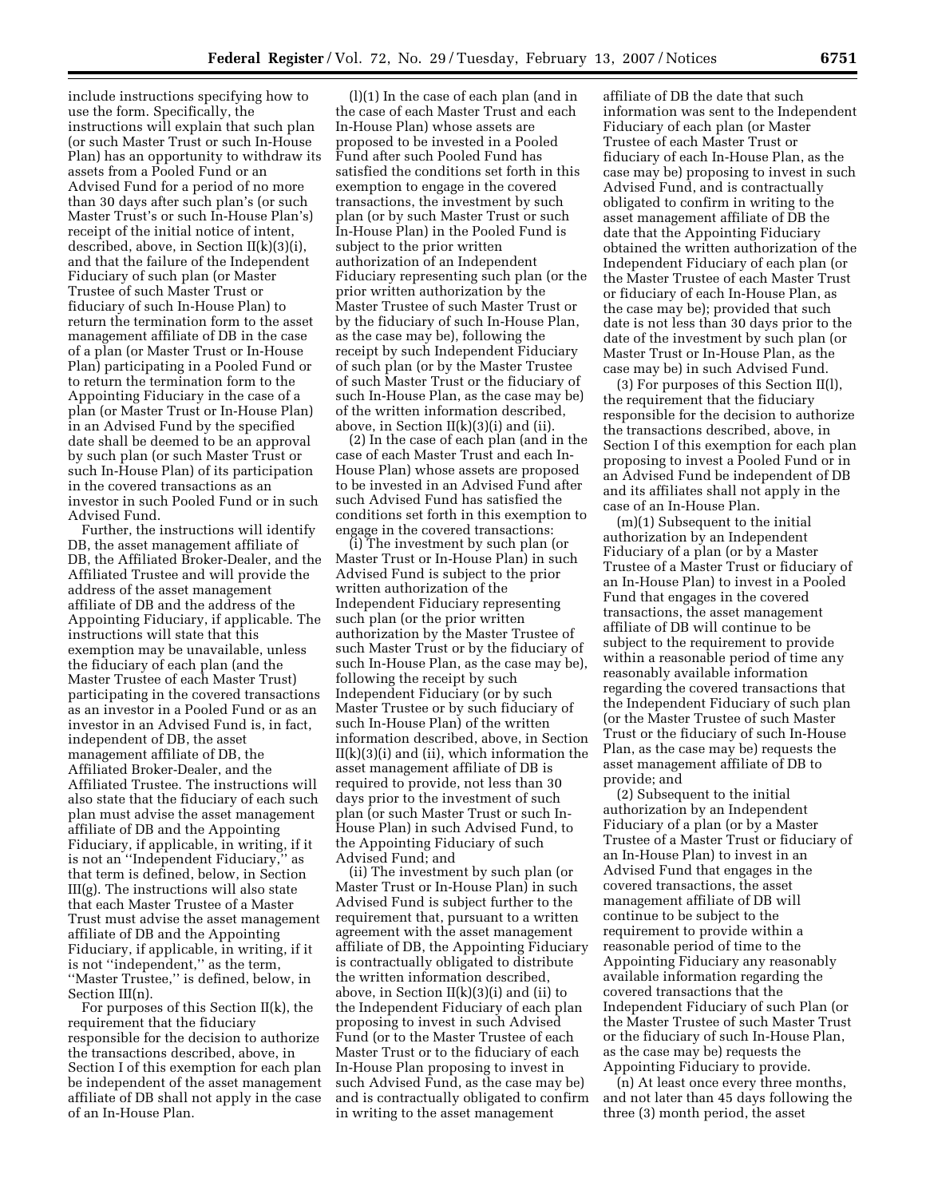include instructions specifying how to use the form. Specifically, the instructions will explain that such plan (or such Master Trust or such In-House Plan) has an opportunity to withdraw its assets from a Pooled Fund or an Advised Fund for a period of no more than 30 days after such plan's (or such Master Trust's or such In-House Plan's) receipt of the initial notice of intent, described, above, in Section II(k)(3)(i), and that the failure of the Independent Fiduciary of such plan (or Master Trustee of such Master Trust or fiduciary of such In-House Plan) to return the termination form to the asset management affiliate of DB in the case of a plan (or Master Trust or In-House Plan) participating in a Pooled Fund or to return the termination form to the Appointing Fiduciary in the case of a plan (or Master Trust or In-House Plan) in an Advised Fund by the specified date shall be deemed to be an approval by such plan (or such Master Trust or such In-House Plan) of its participation in the covered transactions as an investor in such Pooled Fund or in such Advised Fund.

Further, the instructions will identify DB, the asset management affiliate of DB, the Affiliated Broker-Dealer, and the Affiliated Trustee and will provide the address of the asset management affiliate of DB and the address of the Appointing Fiduciary, if applicable. The instructions will state that this exemption may be unavailable, unless the fiduciary of each plan (and the Master Trustee of each Master Trust) participating in the covered transactions as an investor in a Pooled Fund or as an investor in an Advised Fund is, in fact, independent of DB, the asset management affiliate of DB, the Affiliated Broker-Dealer, and the Affiliated Trustee. The instructions will also state that the fiduciary of each such plan must advise the asset management affiliate of DB and the Appointing Fiduciary, if applicable, in writing, if it is not an ''Independent Fiduciary,'' as that term is defined, below, in Section III(g). The instructions will also state that each Master Trustee of a Master Trust must advise the asset management affiliate of DB and the Appointing Fiduciary, if applicable, in writing, if it is not ''independent,'' as the term, ''Master Trustee,'' is defined, below, in Section III(n).

For purposes of this Section II(k), the requirement that the fiduciary responsible for the decision to authorize the transactions described, above, in Section I of this exemption for each plan be independent of the asset management affiliate of DB shall not apply in the case of an In-House Plan.

(l)(1) In the case of each plan (and in the case of each Master Trust and each In-House Plan) whose assets are proposed to be invested in a Pooled Fund after such Pooled Fund has satisfied the conditions set forth in this exemption to engage in the covered transactions, the investment by such plan (or by such Master Trust or such In-House Plan) in the Pooled Fund is subject to the prior written authorization of an Independent Fiduciary representing such plan (or the prior written authorization by the Master Trustee of such Master Trust or by the fiduciary of such In-House Plan, as the case may be), following the receipt by such Independent Fiduciary of such plan (or by the Master Trustee of such Master Trust or the fiduciary of such In-House Plan, as the case may be) of the written information described, above, in Section II(k)(3)(i) and (ii).

(2) In the case of each plan (and in the case of each Master Trust and each In-House Plan) whose assets are proposed to be invested in an Advised Fund after such Advised Fund has satisfied the conditions set forth in this exemption to engage in the covered transactions:

(i) The investment by such plan (or Master Trust or In-House Plan) in such Advised Fund is subject to the prior written authorization of the Independent Fiduciary representing such plan (or the prior written authorization by the Master Trustee of such Master Trust or by the fiduciary of such In-House Plan, as the case may be), following the receipt by such Independent Fiduciary (or by such Master Trustee or by such fiduciary of such In-House Plan) of the written information described, above, in Section  $II(k)(3)(i)$  and (ii), which information the asset management affiliate of DB is required to provide, not less than 30 days prior to the investment of such plan (or such Master Trust or such In-House Plan) in such Advised Fund, to the Appointing Fiduciary of such Advised Fund; and

(ii) The investment by such plan (or Master Trust or In-House Plan) in such Advised Fund is subject further to the requirement that, pursuant to a written agreement with the asset management affiliate of DB, the Appointing Fiduciary is contractually obligated to distribute the written information described, above, in Section II(k)(3)(i) and (ii) to the Independent Fiduciary of each plan proposing to invest in such Advised Fund (or to the Master Trustee of each Master Trust or to the fiduciary of each In-House Plan proposing to invest in such Advised Fund, as the case may be) and is contractually obligated to confirm in writing to the asset management

affiliate of DB the date that such information was sent to the Independent Fiduciary of each plan (or Master Trustee of each Master Trust or fiduciary of each In-House Plan, as the case may be) proposing to invest in such Advised Fund, and is contractually obligated to confirm in writing to the asset management affiliate of DB the date that the Appointing Fiduciary obtained the written authorization of the Independent Fiduciary of each plan (or the Master Trustee of each Master Trust or fiduciary of each In-House Plan, as the case may be); provided that such date is not less than 30 days prior to the date of the investment by such plan (or Master Trust or In-House Plan, as the case may be) in such Advised Fund.

(3) For purposes of this Section II(l), the requirement that the fiduciary responsible for the decision to authorize the transactions described, above, in Section I of this exemption for each plan proposing to invest a Pooled Fund or in an Advised Fund be independent of DB and its affiliates shall not apply in the case of an In-House Plan.

(m)(1) Subsequent to the initial authorization by an Independent Fiduciary of a plan (or by a Master Trustee of a Master Trust or fiduciary of an In-House Plan) to invest in a Pooled Fund that engages in the covered transactions, the asset management affiliate of DB will continue to be subject to the requirement to provide within a reasonable period of time any reasonably available information regarding the covered transactions that the Independent Fiduciary of such plan (or the Master Trustee of such Master Trust or the fiduciary of such In-House Plan, as the case may be) requests the asset management affiliate of DB to provide; and

(2) Subsequent to the initial authorization by an Independent Fiduciary of a plan (or by a Master Trustee of a Master Trust or fiduciary of an In-House Plan) to invest in an Advised Fund that engages in the covered transactions, the asset management affiliate of DB will continue to be subject to the requirement to provide within a reasonable period of time to the Appointing Fiduciary any reasonably available information regarding the covered transactions that the Independent Fiduciary of such Plan (or the Master Trustee of such Master Trust or the fiduciary of such In-House Plan, as the case may be) requests the Appointing Fiduciary to provide.

(n) At least once every three months, and not later than 45 days following the three (3) month period, the asset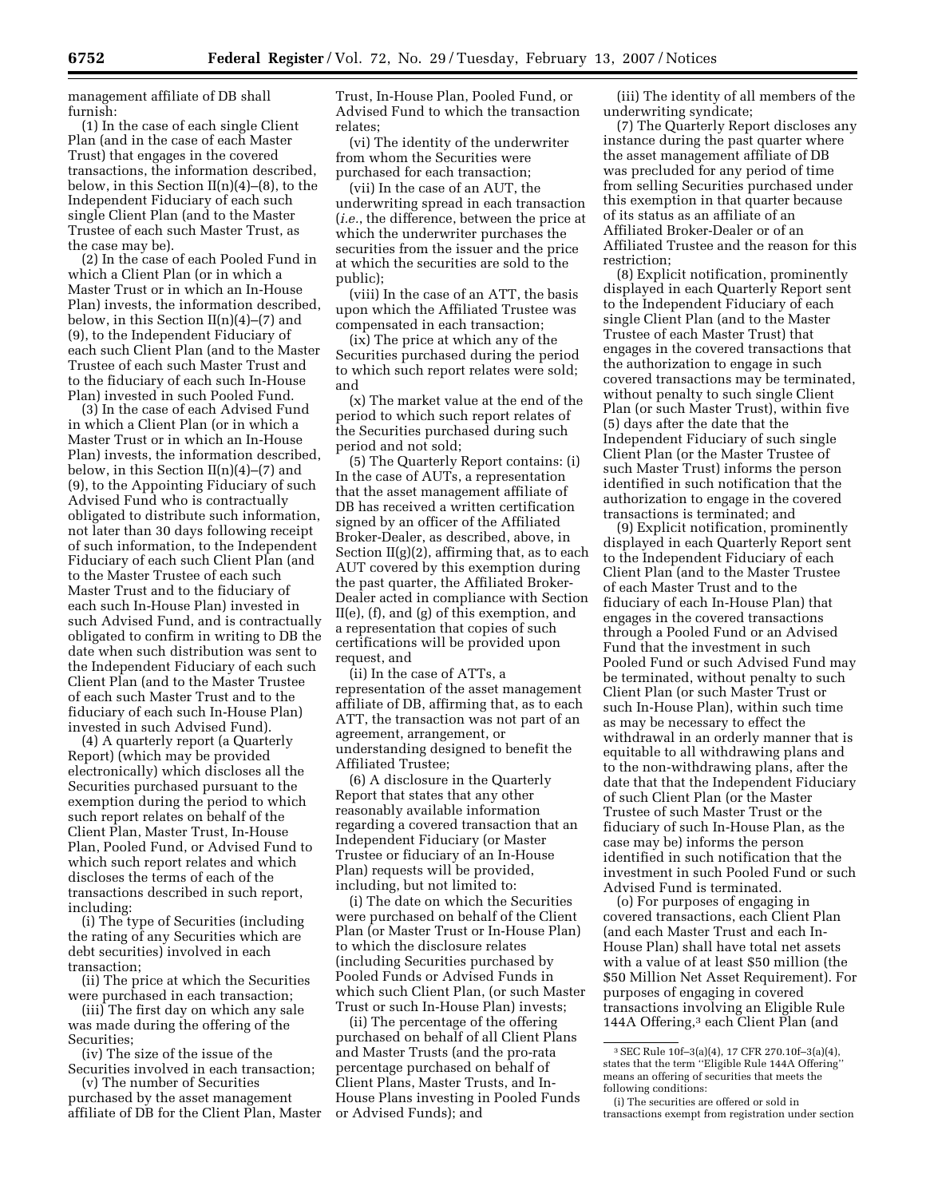management affiliate of DB shall furnish:

(1) In the case of each single Client Plan (and in the case of each Master Trust) that engages in the covered transactions, the information described, below, in this Section II(n)(4)–(8), to the Independent Fiduciary of each such single Client Plan (and to the Master Trustee of each such Master Trust, as the case may be).

(2) In the case of each Pooled Fund in which a Client Plan (or in which a Master Trust or in which an In-House Plan) invests, the information described, below, in this Section  $II(n)(4)–(7)$  and (9), to the Independent Fiduciary of each such Client Plan (and to the Master Trustee of each such Master Trust and to the fiduciary of each such In-House Plan) invested in such Pooled Fund.

(3) In the case of each Advised Fund in which a Client Plan (or in which a Master Trust or in which an In-House Plan) invests, the information described, below, in this Section  $II(n)(4)–(7)$  and (9), to the Appointing Fiduciary of such Advised Fund who is contractually obligated to distribute such information, not later than 30 days following receipt of such information, to the Independent Fiduciary of each such Client Plan (and to the Master Trustee of each such Master Trust and to the fiduciary of each such In-House Plan) invested in such Advised Fund, and is contractually obligated to confirm in writing to DB the date when such distribution was sent to the Independent Fiduciary of each such Client Plan (and to the Master Trustee of each such Master Trust and to the fiduciary of each such In-House Plan) invested in such Advised Fund).

(4) A quarterly report (a Quarterly Report) (which may be provided electronically) which discloses all the Securities purchased pursuant to the exemption during the period to which such report relates on behalf of the Client Plan, Master Trust, In-House Plan, Pooled Fund, or Advised Fund to which such report relates and which discloses the terms of each of the transactions described in such report, including:

(i) The type of Securities (including the rating of any Securities which are debt securities) involved in each transaction;

(ii) The price at which the Securities were purchased in each transaction;

(iii) The first day on which any sale was made during the offering of the Securities;

(iv) The size of the issue of the Securities involved in each transaction;

(v) The number of Securities purchased by the asset management affiliate of DB for the Client Plan, Master Trust, In-House Plan, Pooled Fund, or Advised Fund to which the transaction relates;

(vi) The identity of the underwriter from whom the Securities were purchased for each transaction;

(vii) In the case of an AUT, the underwriting spread in each transaction (*i.e.*, the difference, between the price at which the underwriter purchases the securities from the issuer and the price at which the securities are sold to the public);

(viii) In the case of an ATT, the basis upon which the Affiliated Trustee was compensated in each transaction;

(ix) The price at which any of the Securities purchased during the period to which such report relates were sold; and

(x) The market value at the end of the period to which such report relates of the Securities purchased during such period and not sold;

(5) The Quarterly Report contains: (i) In the case of AUTs, a representation that the asset management affiliate of DB has received a written certification signed by an officer of the Affiliated Broker-Dealer, as described, above, in Section  $II(g)(2)$ , affirming that, as to each AUT covered by this exemption during the past quarter, the Affiliated Broker-Dealer acted in compliance with Section II(e), (f), and (g) of this exemption, and a representation that copies of such certifications will be provided upon request, and

(ii) In the case of ATTs, a representation of the asset management affiliate of DB, affirming that, as to each ATT, the transaction was not part of an agreement, arrangement, or understanding designed to benefit the Affiliated Trustee;

(6) A disclosure in the Quarterly Report that states that any other reasonably available information regarding a covered transaction that an Independent Fiduciary (or Master Trustee or fiduciary of an In-House Plan) requests will be provided, including, but not limited to:

(i) The date on which the Securities were purchased on behalf of the Client Plan (or Master Trust or In-House Plan) to which the disclosure relates (including Securities purchased by Pooled Funds or Advised Funds in which such Client Plan, (or such Master Trust or such In-House Plan) invests;

(ii) The percentage of the offering purchased on behalf of all Client Plans and Master Trusts (and the pro-rata percentage purchased on behalf of Client Plans, Master Trusts, and In-House Plans investing in Pooled Funds or Advised Funds); and

(iii) The identity of all members of the underwriting syndicate;

(7) The Quarterly Report discloses any instance during the past quarter where the asset management affiliate of DB was precluded for any period of time from selling Securities purchased under this exemption in that quarter because of its status as an affiliate of an Affiliated Broker-Dealer or of an Affiliated Trustee and the reason for this restriction;

(8) Explicit notification, prominently displayed in each Quarterly Report sent to the Independent Fiduciary of each single Client Plan (and to the Master Trustee of each Master Trust) that engages in the covered transactions that the authorization to engage in such covered transactions may be terminated, without penalty to such single Client Plan (or such Master Trust), within five (5) days after the date that the Independent Fiduciary of such single Client Plan (or the Master Trustee of such Master Trust) informs the person identified in such notification that the authorization to engage in the covered transactions is terminated; and

(9) Explicit notification, prominently displayed in each Quarterly Report sent to the Independent Fiduciary of each Client Plan (and to the Master Trustee of each Master Trust and to the fiduciary of each In-House Plan) that engages in the covered transactions through a Pooled Fund or an Advised Fund that the investment in such Pooled Fund or such Advised Fund may be terminated, without penalty to such Client Plan (or such Master Trust or such In-House Plan), within such time as may be necessary to effect the withdrawal in an orderly manner that is equitable to all withdrawing plans and to the non-withdrawing plans, after the date that that the Independent Fiduciary of such Client Plan (or the Master Trustee of such Master Trust or the fiduciary of such In-House Plan, as the case may be) informs the person identified in such notification that the investment in such Pooled Fund or such Advised Fund is terminated.

(o) For purposes of engaging in covered transactions, each Client Plan (and each Master Trust and each In-House Plan) shall have total net assets with a value of at least \$50 million (the \$50 Million Net Asset Requirement). For purposes of engaging in covered transactions involving an Eligible Rule 144A Offering,<sup>3</sup> each Client Plan (and

<sup>3</sup>SEC Rule 10f–3(a)(4), 17 CFR 270.10f–3(a)(4), states that the term ''Eligible Rule 144A Offering'' means an offering of securities that meets the following conditions:

<sup>(</sup>i) The securities are offered or sold in transactions exempt from registration under section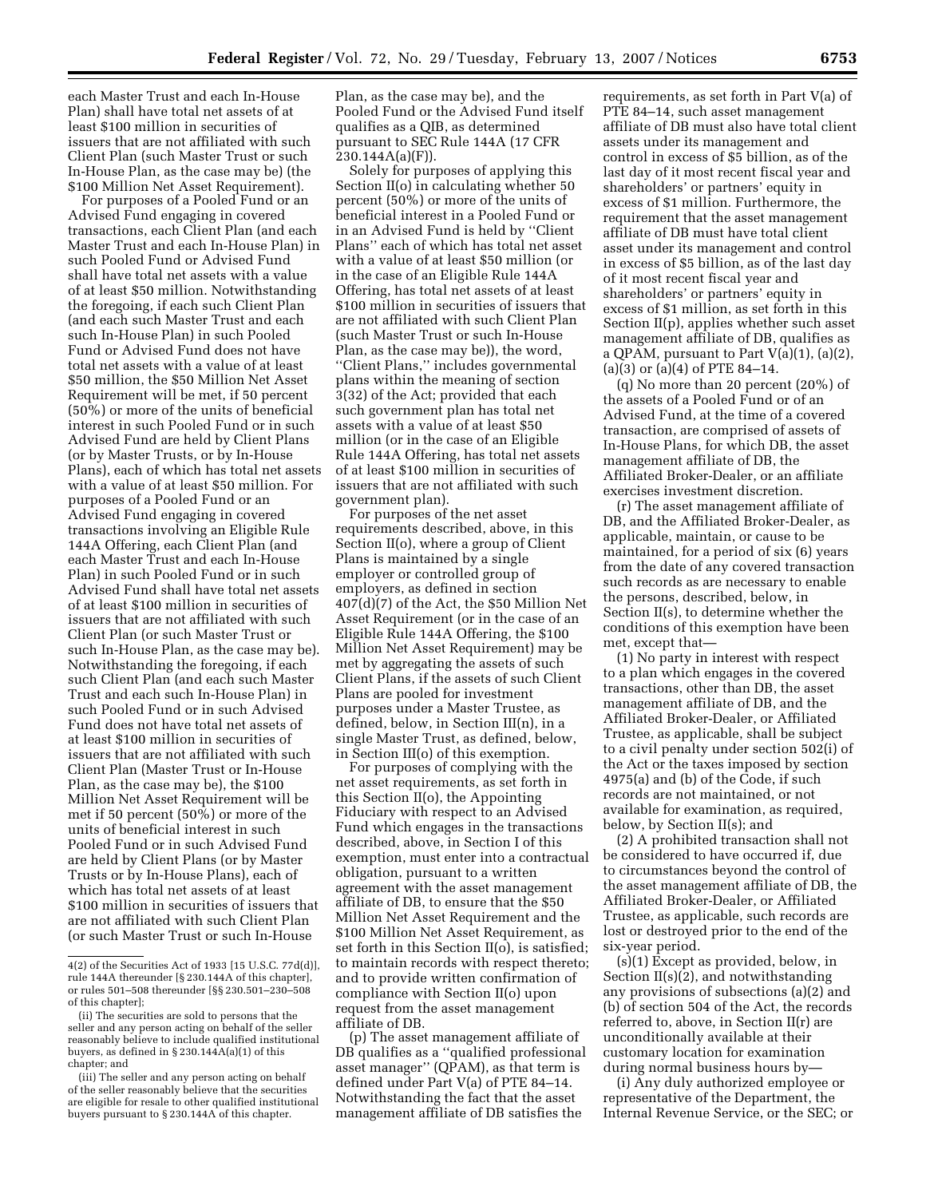each Master Trust and each In-House Plan) shall have total net assets of at least \$100 million in securities of issuers that are not affiliated with such Client Plan (such Master Trust or such In-House Plan, as the case may be) (the \$100 Million Net Asset Requirement).

For purposes of a Pooled Fund or an Advised Fund engaging in covered transactions, each Client Plan (and each Master Trust and each In-House Plan) in such Pooled Fund or Advised Fund shall have total net assets with a value of at least \$50 million. Notwithstanding the foregoing, if each such Client Plan (and each such Master Trust and each such In-House Plan) in such Pooled Fund or Advised Fund does not have total net assets with a value of at least \$50 million, the \$50 Million Net Asset Requirement will be met, if 50 percent (50%) or more of the units of beneficial interest in such Pooled Fund or in such Advised Fund are held by Client Plans (or by Master Trusts, or by In-House Plans), each of which has total net assets with a value of at least \$50 million. For purposes of a Pooled Fund or an Advised Fund engaging in covered transactions involving an Eligible Rule 144A Offering, each Client Plan (and each Master Trust and each In-House Plan) in such Pooled Fund or in such Advised Fund shall have total net assets of at least \$100 million in securities of issuers that are not affiliated with such Client Plan (or such Master Trust or such In-House Plan, as the case may be). Notwithstanding the foregoing, if each such Client Plan (and each such Master Trust and each such In-House Plan) in such Pooled Fund or in such Advised Fund does not have total net assets of at least \$100 million in securities of issuers that are not affiliated with such Client Plan (Master Trust or In-House Plan, as the case may be), the \$100 Million Net Asset Requirement will be met if 50 percent  $(50\%)$  or more of the units of beneficial interest in such Pooled Fund or in such Advised Fund are held by Client Plans (or by Master Trusts or by In-House Plans), each of which has total net assets of at least \$100 million in securities of issuers that are not affiliated with such Client Plan (or such Master Trust or such In-House

Plan, as the case may be), and the Pooled Fund or the Advised Fund itself qualifies as a QIB, as determined pursuant to SEC Rule 144A (17 CFR  $230.144A(a)(F)$ .

Solely for purposes of applying this Section II(o) in calculating whether 50 percent (50%) or more of the units of beneficial interest in a Pooled Fund or in an Advised Fund is held by ''Client Plans'' each of which has total net asset with a value of at least \$50 million (or in the case of an Eligible Rule 144A Offering, has total net assets of at least \$100 million in securities of issuers that are not affiliated with such Client Plan (such Master Trust or such In-House Plan, as the case may be)), the word, ''Client Plans,'' includes governmental plans within the meaning of section 3(32) of the Act; provided that each such government plan has total net assets with a value of at least \$50 million (or in the case of an Eligible Rule 144A Offering, has total net assets of at least \$100 million in securities of issuers that are not affiliated with such government plan).

For purposes of the net asset requirements described, above, in this Section II(o), where a group of Client Plans is maintained by a single employer or controlled group of employers, as defined in section 407(d)(7) of the Act, the \$50 Million Net Asset Requirement (or in the case of an Eligible Rule 144A Offering, the \$100 Million Net Asset Requirement) may be met by aggregating the assets of such Client Plans, if the assets of such Client Plans are pooled for investment purposes under a Master Trustee, as defined, below, in Section III(n), in a single Master Trust, as defined, below, in Section III(o) of this exemption.

For purposes of complying with the net asset requirements, as set forth in this Section II(o), the Appointing Fiduciary with respect to an Advised Fund which engages in the transactions described, above, in Section I of this exemption, must enter into a contractual obligation, pursuant to a written agreement with the asset management affiliate of DB, to ensure that the \$50 Million Net Asset Requirement and the \$100 Million Net Asset Requirement, as set forth in this Section II(o), is satisfied; to maintain records with respect thereto; and to provide written confirmation of compliance with Section II(o) upon request from the asset management affiliate of DB.

(p) The asset management affiliate of DB qualifies as a ''qualified professional asset manager'' (QPAM), as that term is defined under Part V(a) of PTE 84–14. Notwithstanding the fact that the asset management affiliate of DB satisfies the

requirements, as set forth in Part V(a) of PTE 84–14, such asset management affiliate of DB must also have total client assets under its management and control in excess of \$5 billion, as of the last day of it most recent fiscal year and shareholders' or partners' equity in excess of \$1 million. Furthermore, the requirement that the asset management affiliate of DB must have total client asset under its management and control in excess of \$5 billion, as of the last day of it most recent fiscal year and shareholders' or partners' equity in excess of \$1 million, as set forth in this Section II(p), applies whether such asset management affiliate of DB, qualifies as a QPAM, pursuant to Part  $V(a)(1)$ ,  $(a)(2)$ ,  $(a)(3)$  or  $(a)(4)$  of PTE 84–14.

(q) No more than 20 percent (20%) of the assets of a Pooled Fund or of an Advised Fund, at the time of a covered transaction, are comprised of assets of In-House Plans, for which DB, the asset management affiliate of DB, the Affiliated Broker-Dealer, or an affiliate exercises investment discretion.

(r) The asset management affiliate of DB, and the Affiliated Broker-Dealer, as applicable, maintain, or cause to be maintained, for a period of six (6) years from the date of any covered transaction such records as are necessary to enable the persons, described, below, in Section II(s), to determine whether the conditions of this exemption have been met, except that—

(1) No party in interest with respect to a plan which engages in the covered transactions, other than DB, the asset management affiliate of DB, and the Affiliated Broker-Dealer, or Affiliated Trustee, as applicable, shall be subject to a civil penalty under section 502(i) of the Act or the taxes imposed by section 4975(a) and (b) of the Code, if such records are not maintained, or not available for examination, as required, below, by Section II(s); and

(2) A prohibited transaction shall not be considered to have occurred if, due to circumstances beyond the control of the asset management affiliate of DB, the Affiliated Broker-Dealer, or Affiliated Trustee, as applicable, such records are lost or destroyed prior to the end of the six-year period.

(s)(1) Except as provided, below, in Section II(s)(2), and notwithstanding any provisions of subsections (a)(2) and (b) of section 504 of the Act, the records referred to, above, in Section II(r) are unconditionally available at their customary location for examination during normal business hours by—

(i) Any duly authorized employee or representative of the Department, the Internal Revenue Service, or the SEC; or

<sup>4(2)</sup> of the Securities Act of 1933 [15 U.S.C. 77d(d)], rule 144A thereunder [§ 230.144A of this chapter], or rules 501–508 thereunder [§§ 230.501–230–508 of this chapter];

<sup>(</sup>ii) The securities are sold to persons that the seller and any person acting on behalf of the seller reasonably believe to include qualified institutional buyers, as defined in § 230.144A(a)(1) of this chapter; and

<sup>(</sup>iii) The seller and any person acting on behalf of the seller reasonably believe that the securities are eligible for resale to other qualified institutional buyers pursuant to § 230.144A of this chapter.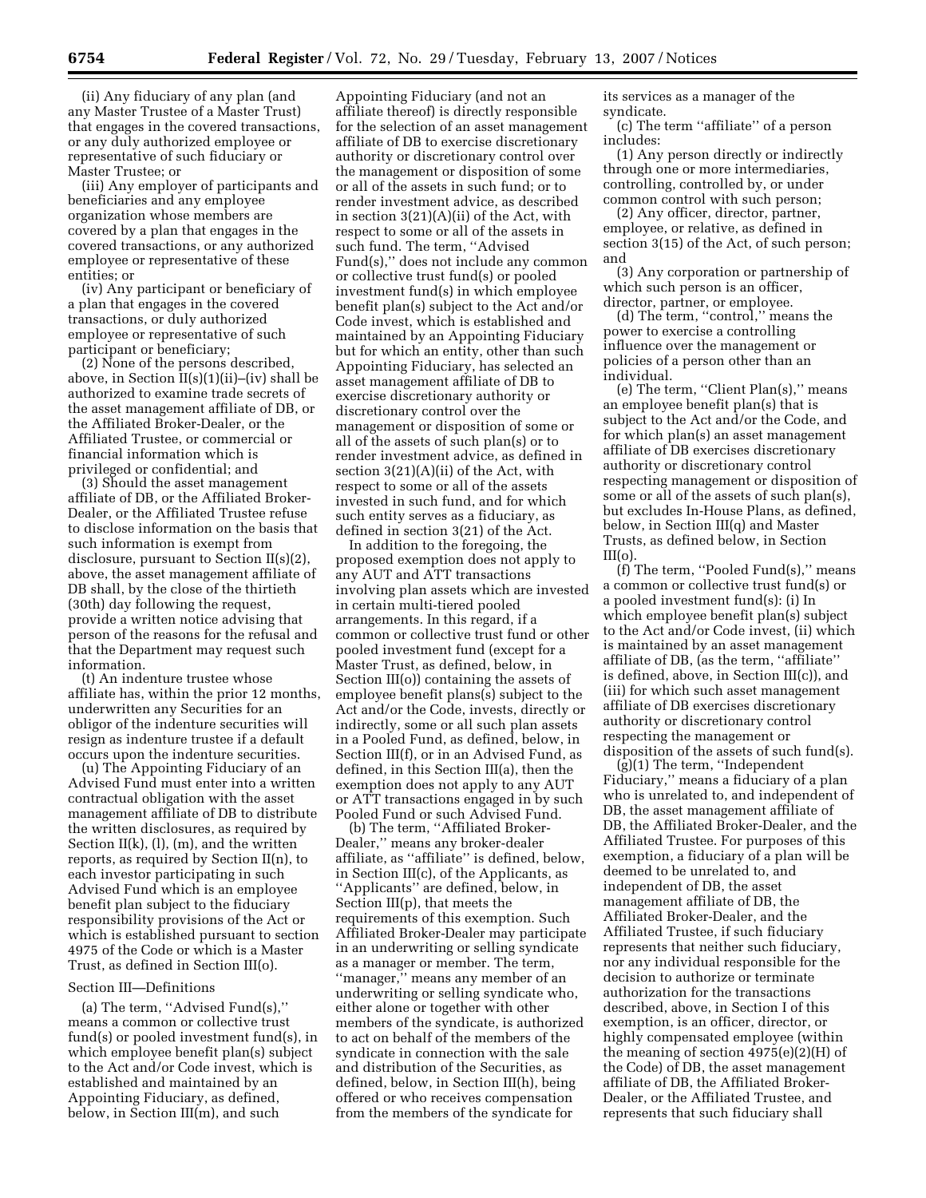(ii) Any fiduciary of any plan (and any Master Trustee of a Master Trust) that engages in the covered transactions, or any duly authorized employee or representative of such fiduciary or Master Trustee; or

(iii) Any employer of participants and beneficiaries and any employee organization whose members are covered by a plan that engages in the covered transactions, or any authorized employee or representative of these entities; or

(iv) Any participant or beneficiary of a plan that engages in the covered transactions, or duly authorized employee or representative of such participant or beneficiary;

(2) None of the persons described, above, in Section  $II(s)(1)(ii)$ –(iv) shall be authorized to examine trade secrets of the asset management affiliate of DB, or the Affiliated Broker-Dealer, or the Affiliated Trustee, or commercial or financial information which is privileged or confidential; and

(3) Should the asset management affiliate of DB, or the Affiliated Broker-Dealer, or the Affiliated Trustee refuse to disclose information on the basis that such information is exempt from disclosure, pursuant to Section II(s)(2), above, the asset management affiliate of DB shall, by the close of the thirtieth (30th) day following the request, provide a written notice advising that person of the reasons for the refusal and that the Department may request such information.

(t) An indenture trustee whose affiliate has, within the prior 12 months, underwritten any Securities for an obligor of the indenture securities will resign as indenture trustee if a default occurs upon the indenture securities.

(u) The Appointing Fiduciary of an Advised Fund must enter into a written contractual obligation with the asset management affiliate of DB to distribute the written disclosures, as required by Section  $II(k)$ ,  $(I)$ ,  $(m)$ , and the written reports, as required by Section II(n), to each investor participating in such Advised Fund which is an employee benefit plan subject to the fiduciary responsibility provisions of the Act or which is established pursuant to section 4975 of the Code or which is a Master Trust, as defined in Section III(o).

#### Section III—Definitions

(a) The term, ''Advised Fund(s),'' means a common or collective trust fund(s) or pooled investment fund(s), in which employee benefit plan(s) subject to the Act and/or Code invest, which is established and maintained by an Appointing Fiduciary, as defined, below, in Section III(m), and such

Appointing Fiduciary (and not an affiliate thereof) is directly responsible for the selection of an asset management affiliate of DB to exercise discretionary authority or discretionary control over the management or disposition of some or all of the assets in such fund; or to render investment advice, as described in section 3(21)(A)(ii) of the Act, with respect to some or all of the assets in such fund. The term, ''Advised Fund(s)," does not include any common or collective trust fund(s) or pooled investment fund(s) in which employee benefit plan(s) subject to the Act and/or Code invest, which is established and maintained by an Appointing Fiduciary but for which an entity, other than such Appointing Fiduciary, has selected an asset management affiliate of DB to exercise discretionary authority or discretionary control over the management or disposition of some or all of the assets of such plan(s) or to render investment advice, as defined in section 3(21)(A)(ii) of the Act, with respect to some or all of the assets invested in such fund, and for which such entity serves as a fiduciary, as defined in section 3(21) of the Act.

In addition to the foregoing, the proposed exemption does not apply to any AUT and ATT transactions involving plan assets which are invested in certain multi-tiered pooled arrangements. In this regard, if a common or collective trust fund or other pooled investment fund (except for a Master Trust, as defined, below, in Section III(o)) containing the assets of employee benefit plans(s) subject to the Act and/or the Code, invests, directly or indirectly, some or all such plan assets in a Pooled Fund, as defined, below, in Section III(f), or in an Advised Fund, as defined, in this Section III(a), then the exemption does not apply to any AUT or ATT transactions engaged in by such Pooled Fund or such Advised Fund.

(b) The term, ''Affiliated Broker-Dealer,'' means any broker-dealer affiliate, as ''affiliate'' is defined, below, in Section III(c), of the Applicants, as ''Applicants'' are defined, below, in Section III(p), that meets the requirements of this exemption. Such Affiliated Broker-Dealer may participate in an underwriting or selling syndicate as a manager or member. The term, ''manager,'' means any member of an underwriting or selling syndicate who, either alone or together with other members of the syndicate, is authorized to act on behalf of the members of the syndicate in connection with the sale and distribution of the Securities, as defined, below, in Section III(h), being offered or who receives compensation from the members of the syndicate for

its services as a manager of the syndicate.

(c) The term ''affiliate'' of a person includes:

(1) Any person directly or indirectly through one or more intermediaries, controlling, controlled by, or under common control with such person;

(2) Any officer, director, partner, employee, or relative, as defined in section 3(15) of the Act, of such person; and

(3) Any corporation or partnership of which such person is an officer, director, partner, or employee.

(d) The term, ''control,'' means the power to exercise a controlling influence over the management or policies of a person other than an individual.

(e) The term, ''Client Plan(s),'' means an employee benefit plan(s) that is subject to the Act and/or the Code, and for which plan(s) an asset management affiliate of DB exercises discretionary authority or discretionary control respecting management or disposition of some or all of the assets of such plan(s), but excludes In-House Plans, as defined, below, in Section III(q) and Master Trusts, as defined below, in Section  $III(n)$ 

(f) The term, ''Pooled Fund(s),'' means a common or collective trust fund(s) or a pooled investment fund(s): (i) In which employee benefit plan(s) subject to the Act and/or Code invest, (ii) which is maintained by an asset management affiliate of DB, (as the term, ''affiliate'' is defined, above, in Section III(c)), and (iii) for which such asset management affiliate of DB exercises discretionary authority or discretionary control respecting the management or disposition of the assets of such fund(s).

(g)(1) The term, ''Independent Fiduciary,'' means a fiduciary of a plan who is unrelated to, and independent of DB, the asset management affiliate of DB, the Affiliated Broker-Dealer, and the Affiliated Trustee. For purposes of this exemption, a fiduciary of a plan will be deemed to be unrelated to, and independent of DB, the asset management affiliate of DB, the Affiliated Broker-Dealer, and the Affiliated Trustee, if such fiduciary represents that neither such fiduciary, nor any individual responsible for the decision to authorize or terminate authorization for the transactions described, above, in Section I of this exemption, is an officer, director, or highly compensated employee (within the meaning of section  $4975(e)(2)(H)$  of the Code) of DB, the asset management affiliate of DB, the Affiliated Broker-Dealer, or the Affiliated Trustee, and represents that such fiduciary shall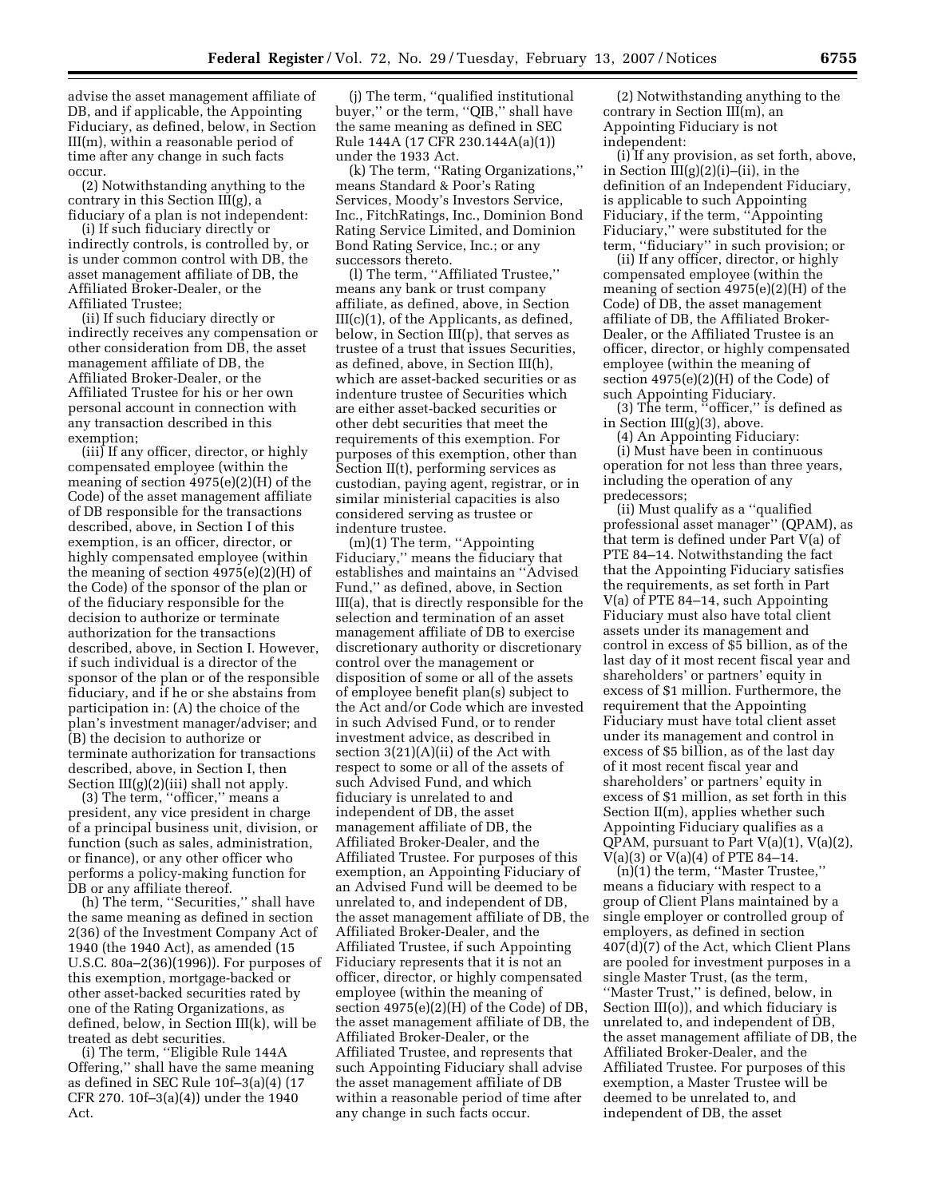advise the asset management affiliate of DB, and if applicable, the Appointing Fiduciary, as defined, below, in Section III(m), within a reasonable period of time after any change in such facts occur.

(2) Notwithstanding anything to the contrary in this Section III(g), a fiduciary of a plan is not independent:

(i) If such fiduciary directly or indirectly controls, is controlled by, or is under common control with DB, the asset management affiliate of DB, the Affiliated Broker-Dealer, or the Affiliated Trustee;

(ii) If such fiduciary directly or indirectly receives any compensation or other consideration from DB, the asset management affiliate of DB, the Affiliated Broker-Dealer, or the Affiliated Trustee for his or her own personal account in connection with any transaction described in this exemption;

(iii) If any officer, director, or highly compensated employee (within the meaning of section 4975(e)(2)(H) of the Code) of the asset management affiliate of DB responsible for the transactions described, above, in Section I of this exemption, is an officer, director, or highly compensated employee (within the meaning of section  $4975(e)(2)(H)$  of the Code) of the sponsor of the plan or of the fiduciary responsible for the decision to authorize or terminate authorization for the transactions described, above, in Section I. However, if such individual is a director of the sponsor of the plan or of the responsible fiduciary, and if he or she abstains from participation in: (A) the choice of the plan's investment manager/adviser; and (B) the decision to authorize or terminate authorization for transactions described, above, in Section I, then Section III(g)(2)(iii) shall not apply.

(3) The term, ''officer,'' means a president, any vice president in charge of a principal business unit, division, or function (such as sales, administration, or finance), or any other officer who performs a policy-making function for DB or any affiliate thereof.

(h) The term, ''Securities,'' shall have the same meaning as defined in section 2(36) of the Investment Company Act of 1940 (the 1940 Act), as amended (15 U.S.C. 80a–2(36)(1996)). For purposes of this exemption, mortgage-backed or other asset-backed securities rated by one of the Rating Organizations, as defined, below, in Section III(k), will be treated as debt securities.

(i) The term, ''Eligible Rule 144A Offering,'' shall have the same meaning as defined in SEC Rule 10f–3(a)(4) (17 CFR 270. 10f–3(a)(4)) under the 1940 Act.

(j) The term, ''qualified institutional buyer,'' or the term, ''QIB,'' shall have the same meaning as defined in SEC Rule 144A (17 CFR 230.144A(a)(1)) under the 1933 Act.

(k) The term, ''Rating Organizations,'' means Standard & Poor's Rating Services, Moody's Investors Service, Inc., FitchRatings, Inc., Dominion Bond Rating Service Limited, and Dominion Bond Rating Service, Inc.; or any successors thereto.

(l) The term, ''Affiliated Trustee,'' means any bank or trust company affiliate, as defined, above, in Section III(c)(1), of the Applicants, as defined, below, in Section III(p), that serves as trustee of a trust that issues Securities, as defined, above, in Section III(h), which are asset-backed securities or as indenture trustee of Securities which are either asset-backed securities or other debt securities that meet the requirements of this exemption. For purposes of this exemption, other than Section II(t), performing services as custodian, paying agent, registrar, or in similar ministerial capacities is also considered serving as trustee or indenture trustee.

(m)(1) The term, ''Appointing Fiduciary,'' means the fiduciary that establishes and maintains an ''Advised Fund,'' as defined, above, in Section III(a), that is directly responsible for the selection and termination of an asset management affiliate of DB to exercise discretionary authority or discretionary control over the management or disposition of some or all of the assets of employee benefit plan(s) subject to the Act and/or Code which are invested in such Advised Fund, or to render investment advice, as described in section 3(21)(A)(ii) of the Act with respect to some or all of the assets of such Advised Fund, and which fiduciary is unrelated to and independent of DB, the asset management affiliate of DB, the Affiliated Broker-Dealer, and the Affiliated Trustee. For purposes of this exemption, an Appointing Fiduciary of an Advised Fund will be deemed to be unrelated to, and independent of DB, the asset management affiliate of DB, the Affiliated Broker-Dealer, and the Affiliated Trustee, if such Appointing Fiduciary represents that it is not an officer, director, or highly compensated employee (within the meaning of section 4975(e)(2)(H) of the Code) of DB, the asset management affiliate of DB, the Affiliated Broker-Dealer, or the Affiliated Trustee, and represents that such Appointing Fiduciary shall advise the asset management affiliate of DB within a reasonable period of time after any change in such facts occur.

(2) Notwithstanding anything to the contrary in Section III(m), an Appointing Fiduciary is not independent:

(i) If any provision, as set forth, above, in Section  $III(g)(2)(i)$ –(ii), in the definition of an Independent Fiduciary, is applicable to such Appointing Fiduciary, if the term,  $\mathbf{A}$ ppointing Fiduciary,'' were substituted for the term, ''fiduciary'' in such provision; or

(ii) If any officer, director, or highly compensated employee (within the meaning of section 4975(e)(2)(H) of the Code) of DB, the asset management affiliate of DB, the Affiliated Broker-Dealer, or the Affiliated Trustee is an officer, director, or highly compensated employee (within the meaning of section 4975(e)(2)(H) of the Code) of such Appointing Fiduciary.

(3) The term, ''officer,'' is defined as in Section  $III(g)(3)$ , above.

(4) An Appointing Fiduciary:

(i) Must have been in continuous operation for not less than three years, including the operation of any predecessors;

(ii) Must qualify as a ''qualified professional asset manager'' (QPAM), as that term is defined under Part V(a) of PTE 84–14. Notwithstanding the fact that the Appointing Fiduciary satisfies the requirements, as set forth in Part V(a) of PTE 84–14, such Appointing Fiduciary must also have total client assets under its management and control in excess of \$5 billion, as of the last day of it most recent fiscal year and shareholders' or partners' equity in excess of \$1 million. Furthermore, the requirement that the Appointing Fiduciary must have total client asset under its management and control in excess of \$5 billion, as of the last day of it most recent fiscal year and shareholders' or partners' equity in excess of \$1 million, as set forth in this Section II(m), applies whether such Appointing Fiduciary qualifies as a QPAM, pursuant to Part  $V(a)(1)$ ,  $V(a)(2)$ ,  $V(a)(3)$  or  $V(a)(4)$  of PTE 84–14.

(n)(1) the term, ''Master Trustee,'' means a fiduciary with respect to a group of Client Plans maintained by a single employer or controlled group of employers, as defined in section 407(d)(7) of the Act, which Client Plans are pooled for investment purposes in a single Master Trust, (as the term, ''Master Trust,'' is defined, below, in Section III(o)), and which fiduciary is unrelated to, and independent of DB, the asset management affiliate of DB, the Affiliated Broker-Dealer, and the Affiliated Trustee. For purposes of this exemption, a Master Trustee will be deemed to be unrelated to, and independent of DB, the asset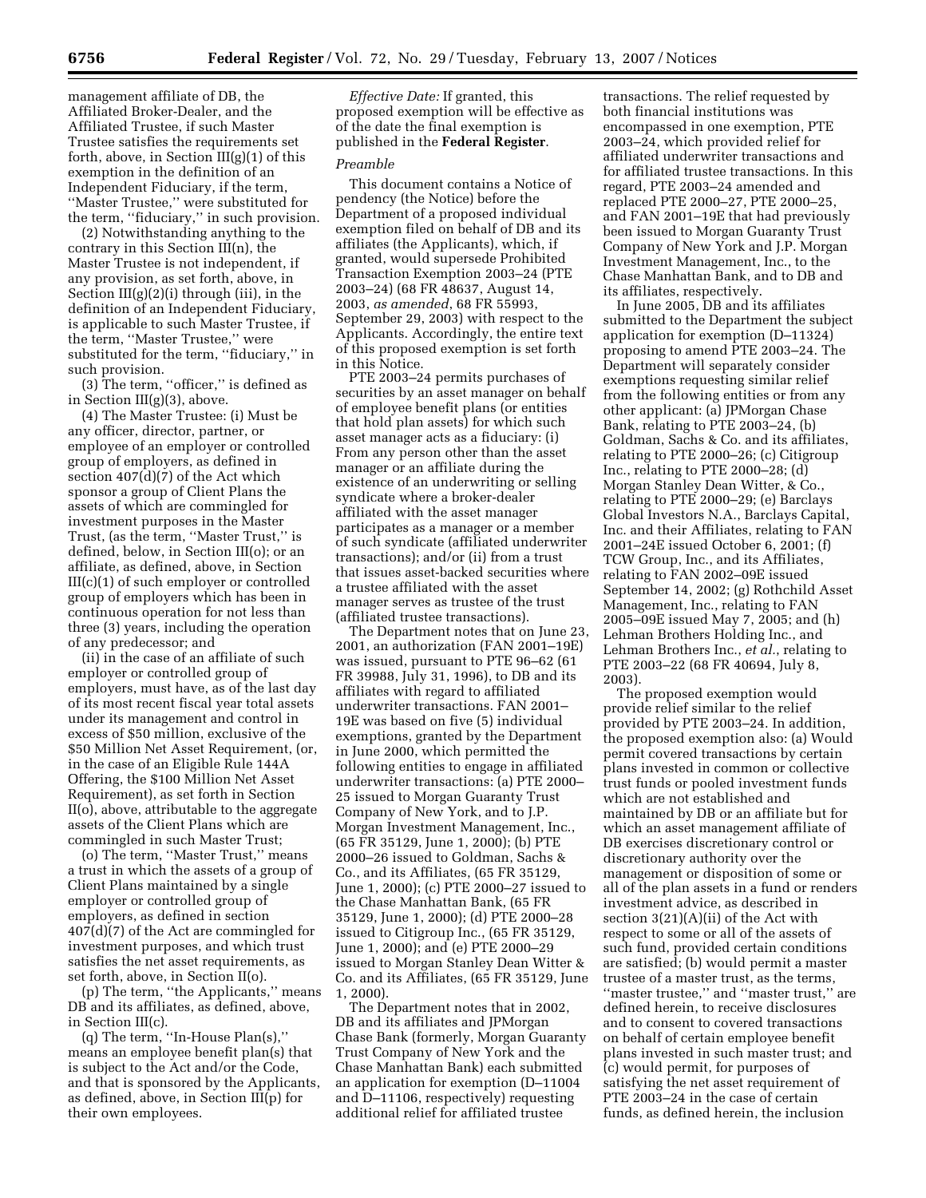management affiliate of DB, the Affiliated Broker-Dealer, and the Affiliated Trustee, if such Master Trustee satisfies the requirements set forth, above, in Section III(g)(1) of this exemption in the definition of an Independent Fiduciary, if the term, ''Master Trustee,'' were substituted for the term, ''fiduciary,'' in such provision.

(2) Notwithstanding anything to the contrary in this Section III(n), the Master Trustee is not independent, if any provision, as set forth, above, in Section III(g)(2)(i) through (iii), in the definition of an Independent Fiduciary, is applicable to such Master Trustee, if the term, ''Master Trustee,'' were substituted for the term, "fiduciary," in such provision.

(3) The term, ''officer,'' is defined as in Section III(g)(3), above.

(4) The Master Trustee: (i) Must be any officer, director, partner, or employee of an employer or controlled group of employers, as defined in section 407(d)(7) of the Act which sponsor a group of Client Plans the assets of which are commingled for investment purposes in the Master Trust, (as the term, ''Master Trust,'' is defined, below, in Section III(o); or an affiliate, as defined, above, in Section III(c)(1) of such employer or controlled group of employers which has been in continuous operation for not less than three (3) years, including the operation of any predecessor; and

(ii) in the case of an affiliate of such employer or controlled group of employers, must have, as of the last day of its most recent fiscal year total assets under its management and control in excess of \$50 million, exclusive of the \$50 Million Net Asset Requirement, (or, in the case of an Eligible Rule 144A Offering, the \$100 Million Net Asset Requirement), as set forth in Section II(o), above, attributable to the aggregate assets of the Client Plans which are commingled in such Master Trust;

(o) The term, ''Master Trust,'' means a trust in which the assets of a group of Client Plans maintained by a single employer or controlled group of employers, as defined in section 407(d)(7) of the Act are commingled for investment purposes, and which trust satisfies the net asset requirements, as set forth, above, in Section II(o).

(p) The term, ''the Applicants,'' means DB and its affiliates, as defined, above, in Section III(c).

(q) The term, ''In-House Plan(s),'' means an employee benefit plan(s) that is subject to the Act and/or the Code, and that is sponsored by the Applicants, as defined, above, in Section III(p) for their own employees.

*Effective Date:* If granted, this proposed exemption will be effective as of the date the final exemption is published in the **Federal Register**.

#### *Preamble*

This document contains a Notice of pendency (the Notice) before the Department of a proposed individual exemption filed on behalf of DB and its affiliates (the Applicants), which, if granted, would supersede Prohibited Transaction Exemption 2003–24 (PTE 2003–24) (68 FR 48637, August 14, 2003, *as amended*, 68 FR 55993, September 29, 2003) with respect to the Applicants. Accordingly, the entire text of this proposed exemption is set forth in this Notice.

PTE 2003–24 permits purchases of securities by an asset manager on behalf of employee benefit plans (or entities that hold plan assets) for which such asset manager acts as a fiduciary: (i) From any person other than the asset manager or an affiliate during the existence of an underwriting or selling syndicate where a broker-dealer affiliated with the asset manager participates as a manager or a member of such syndicate (affiliated underwriter transactions); and/or (ii) from a trust that issues asset-backed securities where a trustee affiliated with the asset manager serves as trustee of the trust (affiliated trustee transactions).

The Department notes that on June 23, 2001, an authorization (FAN 2001–19E) was issued, pursuant to PTE 96–62 (61 FR 39988, July 31, 1996), to DB and its affiliates with regard to affiliated underwriter transactions. FAN 2001– 19E was based on five (5) individual exemptions, granted by the Department in June 2000, which permitted the following entities to engage in affiliated underwriter transactions: (a) PTE 2000– 25 issued to Morgan Guaranty Trust Company of New York, and to J.P. Morgan Investment Management, Inc., (65 FR 35129, June 1, 2000); (b) PTE 2000–26 issued to Goldman, Sachs & Co., and its Affiliates, (65 FR 35129, June 1, 2000); (c) PTE 2000–27 issued to the Chase Manhattan Bank, (65 FR 35129, June 1, 2000); (d) PTE 2000–28 issued to Citigroup Inc., (65 FR 35129, June 1, 2000); and (e) PTE 2000–29 issued to Morgan Stanley Dean Witter & Co. and its Affiliates, (65 FR 35129, June 1, 2000).

The Department notes that in 2002, DB and its affiliates and JPMorgan Chase Bank (formerly, Morgan Guaranty Trust Company of New York and the Chase Manhattan Bank) each submitted an application for exemption (D–11004 and D–11106, respectively) requesting additional relief for affiliated trustee

transactions. The relief requested by both financial institutions was encompassed in one exemption, PTE 2003–24, which provided relief for affiliated underwriter transactions and for affiliated trustee transactions. In this regard, PTE 2003–24 amended and replaced PTE 2000–27, PTE 2000–25, and FAN 2001–19E that had previously been issued to Morgan Guaranty Trust Company of New York and J.P. Morgan Investment Management, Inc., to the Chase Manhattan Bank, and to DB and its affiliates, respectively.

In June 2005, DB and its affiliates submitted to the Department the subject application for exemption (D–11324) proposing to amend PTE 2003–24. The Department will separately consider exemptions requesting similar relief from the following entities or from any other applicant: (a) JPMorgan Chase Bank, relating to PTE 2003–24, (b) Goldman, Sachs & Co. and its affiliates, relating to PTE 2000–26; (c) Citigroup Inc., relating to PTE 2000–28; (d) Morgan Stanley Dean Witter, & Co., relating to PTE 2000–29; (e) Barclays Global Investors N.A., Barclays Capital, Inc. and their Affiliates, relating to FAN 2001–24E issued October 6, 2001; (f) TCW Group, Inc., and its Affiliates, relating to FAN 2002–09E issued September 14, 2002; (g) Rothchild Asset Management, Inc., relating to FAN 2005–09E issued May 7, 2005; and (h) Lehman Brothers Holding Inc., and Lehman Brothers Inc., *et al.*, relating to PTE 2003–22 (68 FR 40694, July 8, 2003).

The proposed exemption would provide relief similar to the relief provided by PTE 2003–24. In addition, the proposed exemption also: (a) Would permit covered transactions by certain plans invested in common or collective trust funds or pooled investment funds which are not established and maintained by DB or an affiliate but for which an asset management affiliate of DB exercises discretionary control or discretionary authority over the management or disposition of some or all of the plan assets in a fund or renders investment advice, as described in section 3(21)(A)(ii) of the Act with respect to some or all of the assets of such fund, provided certain conditions are satisfied; (b) would permit a master trustee of a master trust, as the terms, ''master trustee,'' and ''master trust,'' are defined herein, to receive disclosures and to consent to covered transactions on behalf of certain employee benefit plans invested in such master trust; and (c) would permit, for purposes of satisfying the net asset requirement of PTE 2003–24 in the case of certain funds, as defined herein, the inclusion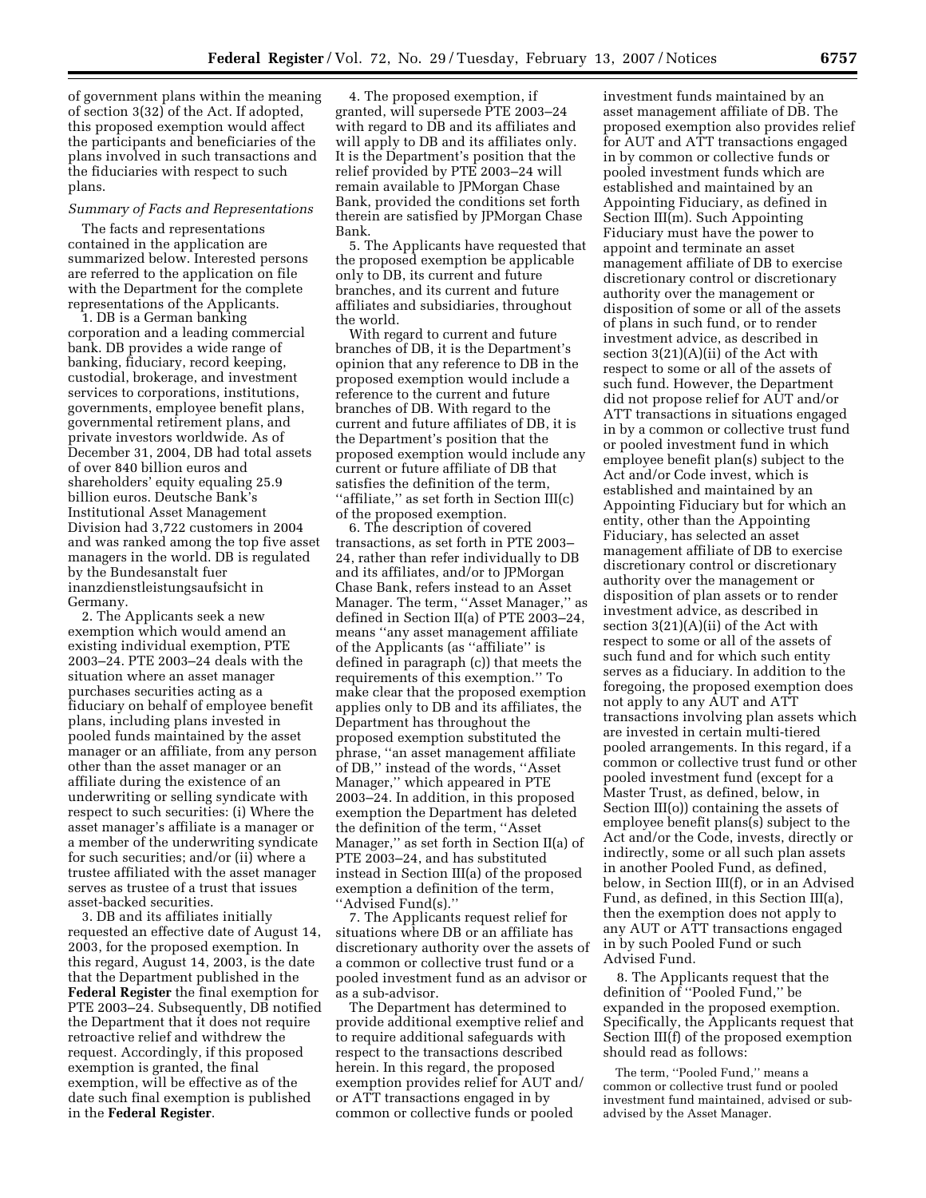of government plans within the meaning of section 3(32) of the Act. If adopted, this proposed exemption would affect the participants and beneficiaries of the plans involved in such transactions and the fiduciaries with respect to such plans.

#### *Summary of Facts and Representations*

The facts and representations contained in the application are summarized below. Interested persons are referred to the application on file with the Department for the complete representations of the Applicants.

1. DB is a German banking corporation and a leading commercial bank. DB provides a wide range of banking, fiduciary, record keeping, custodial, brokerage, and investment services to corporations, institutions, governments, employee benefit plans, governmental retirement plans, and private investors worldwide. As of December 31, 2004, DB had total assets of over 840 billion euros and shareholders' equity equaling 25.9 billion euros. Deutsche Bank's Institutional Asset Management Division had 3,722 customers in 2004 and was ranked among the top five asset managers in the world. DB is regulated by the Bundesanstalt fuer inanzdienstleistungsaufsicht in Germany.

2. The Applicants seek a new exemption which would amend an existing individual exemption, PTE 2003–24. PTE 2003–24 deals with the situation where an asset manager purchases securities acting as a fiduciary on behalf of employee benefit plans, including plans invested in pooled funds maintained by the asset manager or an affiliate, from any person other than the asset manager or an affiliate during the existence of an underwriting or selling syndicate with respect to such securities: (i) Where the asset manager's affiliate is a manager or a member of the underwriting syndicate for such securities; and/or (ii) where a trustee affiliated with the asset manager serves as trustee of a trust that issues asset-backed securities.

3. DB and its affiliates initially requested an effective date of August 14, 2003, for the proposed exemption. In this regard, August 14, 2003, is the date that the Department published in the **Federal Register** the final exemption for PTE 2003–24. Subsequently, DB notified the Department that it does not require retroactive relief and withdrew the request. Accordingly, if this proposed exemption is granted, the final exemption, will be effective as of the date such final exemption is published in the **Federal Register**.

4. The proposed exemption, if granted, will supersede PTE 2003–24 with regard to DB and its affiliates and will apply to DB and its affiliates only. It is the Department's position that the relief provided by PTE 2003–24 will remain available to JPMorgan Chase Bank, provided the conditions set forth therein are satisfied by JPMorgan Chase Bank.

5. The Applicants have requested that the proposed exemption be applicable only to DB, its current and future branches, and its current and future affiliates and subsidiaries, throughout the world.

With regard to current and future branches of DB, it is the Department's opinion that any reference to DB in the proposed exemption would include a reference to the current and future branches of DB. With regard to the current and future affiliates of DB, it is the Department's position that the proposed exemption would include any current or future affiliate of DB that satisfies the definition of the term, ''affiliate,'' as set forth in Section III(c) of the proposed exemption.

6. The description of covered transactions, as set forth in PTE 2003– 24, rather than refer individually to DB and its affiliates, and/or to JPMorgan Chase Bank, refers instead to an Asset Manager. The term, ''Asset Manager,'' as defined in Section II(a) of PTE 2003–24, means ''any asset management affiliate of the Applicants (as ''affiliate'' is defined in paragraph (c)) that meets the requirements of this exemption.'' To make clear that the proposed exemption applies only to DB and its affiliates, the Department has throughout the proposed exemption substituted the phrase, ''an asset management affiliate of DB,'' instead of the words, ''Asset Manager,'' which appeared in PTE 2003–24. In addition, in this proposed exemption the Department has deleted the definition of the term, ''Asset Manager,'' as set forth in Section II(a) of PTE 2003–24, and has substituted instead in Section III(a) of the proposed exemption a definition of the term, ''Advised Fund(s).''

7. The Applicants request relief for situations where DB or an affiliate has discretionary authority over the assets of a common or collective trust fund or a pooled investment fund as an advisor or as a sub-advisor.

The Department has determined to provide additional exemptive relief and to require additional safeguards with respect to the transactions described herein. In this regard, the proposed exemption provides relief for AUT and/ or ATT transactions engaged in by common or collective funds or pooled

investment funds maintained by an asset management affiliate of DB. The proposed exemption also provides relief for AUT and ATT transactions engaged in by common or collective funds or pooled investment funds which are established and maintained by an Appointing Fiduciary, as defined in Section III(m). Such Appointing Fiduciary must have the power to appoint and terminate an asset management affiliate of DB to exercise discretionary control or discretionary authority over the management or disposition of some or all of the assets of plans in such fund, or to render investment advice, as described in section 3(21)(A)(ii) of the Act with respect to some or all of the assets of such fund. However, the Department did not propose relief for AUT and/or ATT transactions in situations engaged in by a common or collective trust fund or pooled investment fund in which employee benefit plan(s) subject to the Act and/or Code invest, which is established and maintained by an Appointing Fiduciary but for which an entity, other than the Appointing Fiduciary, has selected an asset management affiliate of DB to exercise discretionary control or discretionary authority over the management or disposition of plan assets or to render investment advice, as described in section 3(21)(A)(ii) of the Act with respect to some or all of the assets of such fund and for which such entity serves as a fiduciary. In addition to the foregoing, the proposed exemption does not apply to any AUT and ATT transactions involving plan assets which are invested in certain multi-tiered pooled arrangements. In this regard, if a common or collective trust fund or other pooled investment fund (except for a Master Trust, as defined, below, in Section III(o)) containing the assets of employee benefit plans(s) subject to the Act and/or the Code, invests, directly or indirectly, some or all such plan assets in another Pooled Fund, as defined, below, in Section III(f), or in an Advised Fund, as defined, in this Section III(a), then the exemption does not apply to any AUT or ATT transactions engaged in by such Pooled Fund or such Advised Fund.

8. The Applicants request that the definition of ''Pooled Fund,'' be expanded in the proposed exemption. Specifically, the Applicants request that Section III(f) of the proposed exemption should read as follows:

The term, ''Pooled Fund,'' means a common or collective trust fund or pooled investment fund maintained, advised or subadvised by the Asset Manager.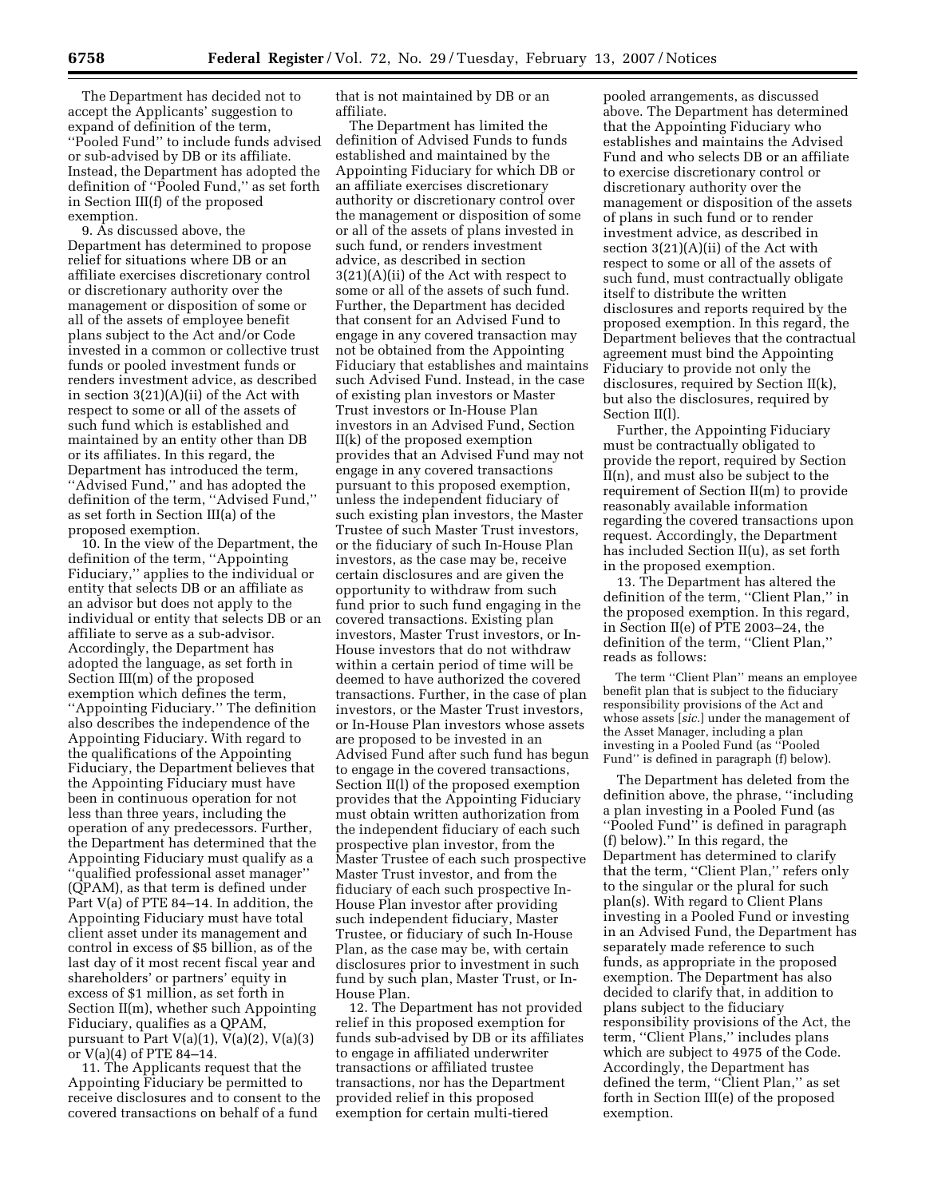The Department has decided not to accept the Applicants' suggestion to expand of definition of the term, ''Pooled Fund'' to include funds advised or sub-advised by DB or its affiliate. Instead, the Department has adopted the definition of ''Pooled Fund,'' as set forth in Section III(f) of the proposed exemption.

9. As discussed above, the Department has determined to propose relief for situations where DB or an affiliate exercises discretionary control or discretionary authority over the management or disposition of some or all of the assets of employee benefit plans subject to the Act and/or Code invested in a common or collective trust funds or pooled investment funds or renders investment advice, as described in section 3(21)(A)(ii) of the Act with respect to some or all of the assets of such fund which is established and maintained by an entity other than DB or its affiliates. In this regard, the Department has introduced the term, ''Advised Fund,'' and has adopted the definition of the term, ''Advised Fund,'' as set forth in Section III(a) of the proposed exemption.

10. In the view of the Department, the definition of the term, ''Appointing Fiduciary,'' applies to the individual or entity that selects DB or an affiliate as an advisor but does not apply to the individual or entity that selects DB or an affiliate to serve as a sub-advisor. Accordingly, the Department has adopted the language, as set forth in Section III(m) of the proposed exemption which defines the term, ''Appointing Fiduciary.'' The definition also describes the independence of the Appointing Fiduciary. With regard to the qualifications of the Appointing Fiduciary, the Department believes that the Appointing Fiduciary must have been in continuous operation for not less than three years, including the operation of any predecessors. Further, the Department has determined that the Appointing Fiduciary must qualify as a ''qualified professional asset manager'' (QPAM), as that term is defined under Part V(a) of PTE 84–14. In addition, the Appointing Fiduciary must have total client asset under its management and control in excess of \$5 billion, as of the last day of it most recent fiscal year and shareholders' or partners' equity in excess of \$1 million, as set forth in Section II(m), whether such Appointing Fiduciary, qualifies as a QPAM, pursuant to Part V(a)(1), V(a)(2), V(a)(3) or  $V(a)(4)$  of PTE 84–14.

11. The Applicants request that the Appointing Fiduciary be permitted to receive disclosures and to consent to the covered transactions on behalf of a fund

that is not maintained by DB or an affiliate.

The Department has limited the definition of Advised Funds to funds established and maintained by the Appointing Fiduciary for which DB or an affiliate exercises discretionary authority or discretionary control over the management or disposition of some or all of the assets of plans invested in such fund, or renders investment advice, as described in section 3(21)(A)(ii) of the Act with respect to some or all of the assets of such fund. Further, the Department has decided that consent for an Advised Fund to engage in any covered transaction may not be obtained from the Appointing Fiduciary that establishes and maintains such Advised Fund. Instead, in the case of existing plan investors or Master Trust investors or In-House Plan investors in an Advised Fund, Section II(k) of the proposed exemption provides that an Advised Fund may not engage in any covered transactions pursuant to this proposed exemption, unless the independent fiduciary of such existing plan investors, the Master Trustee of such Master Trust investors, or the fiduciary of such In-House Plan investors, as the case may be, receive certain disclosures and are given the opportunity to withdraw from such fund prior to such fund engaging in the covered transactions. Existing plan investors, Master Trust investors, or In-House investors that do not withdraw within a certain period of time will be deemed to have authorized the covered transactions. Further, in the case of plan investors, or the Master Trust investors, or In-House Plan investors whose assets are proposed to be invested in an Advised Fund after such fund has begun to engage in the covered transactions, Section II(l) of the proposed exemption provides that the Appointing Fiduciary must obtain written authorization from the independent fiduciary of each such prospective plan investor, from the Master Trustee of each such prospective Master Trust investor, and from the fiduciary of each such prospective In-House Plan investor after providing such independent fiduciary, Master Trustee, or fiduciary of such In-House Plan, as the case may be, with certain disclosures prior to investment in such fund by such plan, Master Trust, or In-House Plan.

12. The Department has not provided relief in this proposed exemption for funds sub-advised by DB or its affiliates to engage in affiliated underwriter transactions or affiliated trustee transactions, nor has the Department provided relief in this proposed exemption for certain multi-tiered

pooled arrangements, as discussed above. The Department has determined that the Appointing Fiduciary who establishes and maintains the Advised Fund and who selects DB or an affiliate to exercise discretionary control or discretionary authority over the management or disposition of the assets of plans in such fund or to render investment advice, as described in section 3(21)(A)(ii) of the Act with respect to some or all of the assets of such fund, must contractually obligate itself to distribute the written disclosures and reports required by the proposed exemption. In this regard, the Department believes that the contractual agreement must bind the Appointing Fiduciary to provide not only the disclosures, required by Section II(k), but also the disclosures, required by Section II(l).

Further, the Appointing Fiduciary must be contractually obligated to provide the report, required by Section II(n), and must also be subject to the requirement of Section II(m) to provide reasonably available information regarding the covered transactions upon request. Accordingly, the Department has included Section II(u), as set forth in the proposed exemption.

13. The Department has altered the definition of the term, "Client Plan," in the proposed exemption. In this regard, in Section II(e) of PTE 2003–24, the definition of the term, ''Client Plan,'' reads as follows:

The term "Client Plan" means an employee benefit plan that is subject to the fiduciary responsibility provisions of the Act and whose assets [*sic.*] under the management of the Asset Manager, including a plan investing in a Pooled Fund (as ''Pooled Fund'' is defined in paragraph (f) below).

The Department has deleted from the definition above, the phrase, ''including a plan investing in a Pooled Fund (as ''Pooled Fund'' is defined in paragraph (f) below).'' In this regard, the Department has determined to clarify that the term, "Client Plan," refers only to the singular or the plural for such plan(s). With regard to Client Plans investing in a Pooled Fund or investing in an Advised Fund, the Department has separately made reference to such funds, as appropriate in the proposed exemption. The Department has also decided to clarify that, in addition to plans subject to the fiduciary responsibility provisions of the Act, the term, "Client Plans," includes plans which are subject to 4975 of the Code. Accordingly, the Department has defined the term, "Client Plan," as set forth in Section III(e) of the proposed exemption.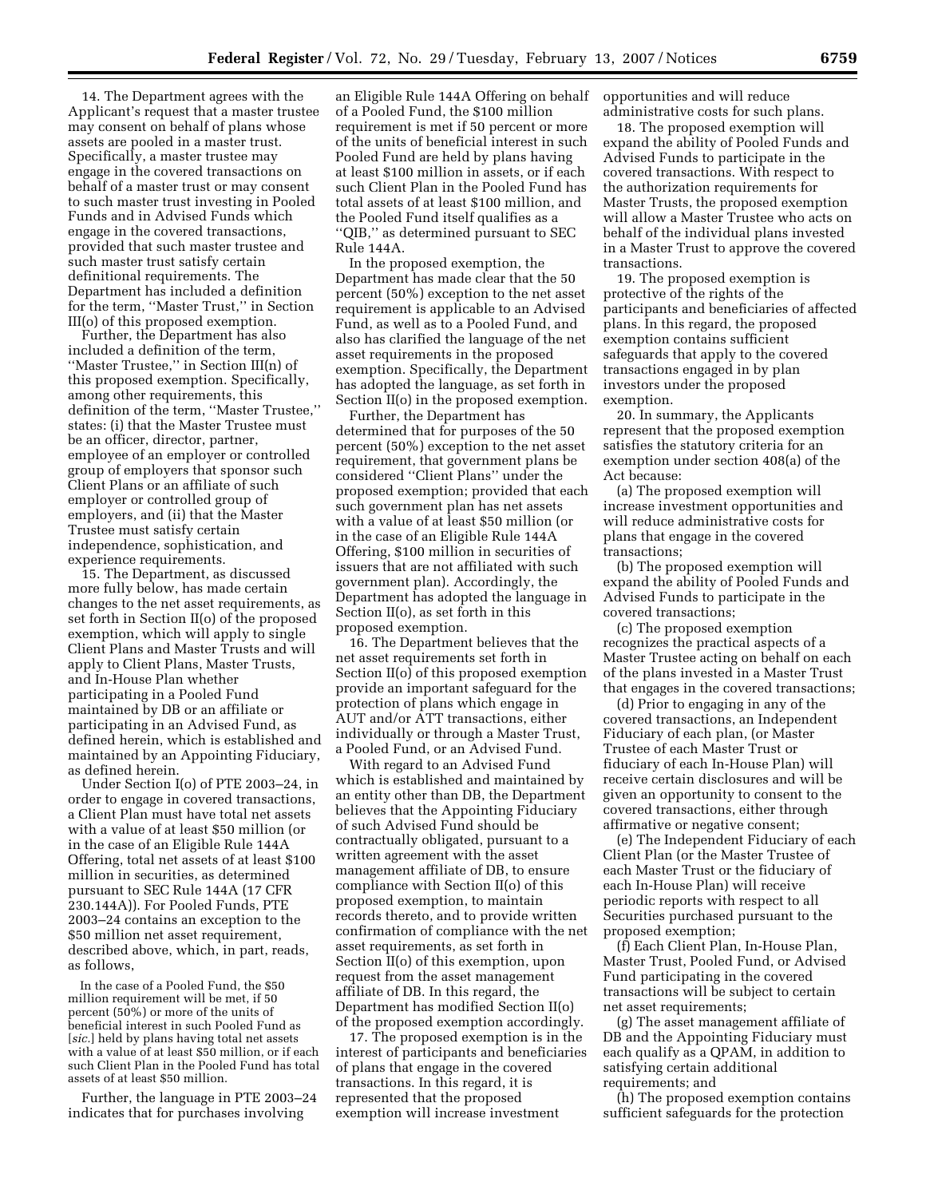14. The Department agrees with the Applicant's request that a master trustee may consent on behalf of plans whose assets are pooled in a master trust. Specifically, a master trustee may engage in the covered transactions on behalf of a master trust or may consent to such master trust investing in Pooled Funds and in Advised Funds which engage in the covered transactions, provided that such master trustee and such master trust satisfy certain definitional requirements. The Department has included a definition for the term, ''Master Trust,'' in Section III(o) of this proposed exemption.

Further, the Department has also included a definition of the term, ''Master Trustee,'' in Section III(n) of this proposed exemption. Specifically, among other requirements, this definition of the term, ''Master Trustee,'' states: (i) that the Master Trustee must be an officer, director, partner, employee of an employer or controlled group of employers that sponsor such Client Plans or an affiliate of such employer or controlled group of employers, and (ii) that the Master Trustee must satisfy certain independence, sophistication, and experience requirements.

15. The Department, as discussed more fully below, has made certain changes to the net asset requirements, as set forth in Section II(o) of the proposed exemption, which will apply to single Client Plans and Master Trusts and will apply to Client Plans, Master Trusts, and In-House Plan whether participating in a Pooled Fund maintained by DB or an affiliate or participating in an Advised Fund, as defined herein, which is established and maintained by an Appointing Fiduciary, as defined herein.

Under Section I(o) of PTE 2003–24, in order to engage in covered transactions, a Client Plan must have total net assets with a value of at least \$50 million (or in the case of an Eligible Rule 144A Offering, total net assets of at least \$100 million in securities, as determined pursuant to SEC Rule 144A (17 CFR 230.144A)). For Pooled Funds, PTE 2003–24 contains an exception to the \$50 million net asset requirement, described above, which, in part, reads, as follows,

In the case of a Pooled Fund, the \$50 million requirement will be met, if 50 percent (50%) or more of the units of beneficial interest in such Pooled Fund as [*sic.*] held by plans having total net assets with a value of at least \$50 million, or if each such Client Plan in the Pooled Fund has total assets of at least \$50 million.

Further, the language in PTE 2003–24 indicates that for purchases involving

an Eligible Rule 144A Offering on behalf of a Pooled Fund, the \$100 million requirement is met if 50 percent or more of the units of beneficial interest in such Pooled Fund are held by plans having at least \$100 million in assets, or if each such Client Plan in the Pooled Fund has total assets of at least \$100 million, and the Pooled Fund itself qualifies as a ''QIB,'' as determined pursuant to SEC Rule 144A.

In the proposed exemption, the Department has made clear that the 50 percent (50%) exception to the net asset requirement is applicable to an Advised Fund, as well as to a Pooled Fund, and also has clarified the language of the net asset requirements in the proposed exemption. Specifically, the Department has adopted the language, as set forth in Section II(o) in the proposed exemption.

Further, the Department has determined that for purposes of the 50 percent (50%) exception to the net asset requirement, that government plans be considered ''Client Plans'' under the proposed exemption; provided that each such government plan has net assets with a value of at least \$50 million (or in the case of an Eligible Rule 144A Offering, \$100 million in securities of issuers that are not affiliated with such government plan). Accordingly, the Department has adopted the language in Section II(o), as set forth in this proposed exemption.

16. The Department believes that the net asset requirements set forth in Section II(o) of this proposed exemption provide an important safeguard for the protection of plans which engage in AUT and/or ATT transactions, either individually or through a Master Trust, a Pooled Fund, or an Advised Fund.

With regard to an Advised Fund which is established and maintained by an entity other than DB, the Department believes that the Appointing Fiduciary of such Advised Fund should be contractually obligated, pursuant to a written agreement with the asset management affiliate of DB, to ensure compliance with Section II(o) of this proposed exemption, to maintain records thereto, and to provide written confirmation of compliance with the net asset requirements, as set forth in Section II(o) of this exemption, upon request from the asset management affiliate of DB. In this regard, the Department has modified Section II(o) of the proposed exemption accordingly.

17. The proposed exemption is in the interest of participants and beneficiaries of plans that engage in the covered transactions. In this regard, it is represented that the proposed exemption will increase investment

opportunities and will reduce administrative costs for such plans.

18. The proposed exemption will expand the ability of Pooled Funds and Advised Funds to participate in the covered transactions. With respect to the authorization requirements for Master Trusts, the proposed exemption will allow a Master Trustee who acts on behalf of the individual plans invested in a Master Trust to approve the covered transactions.

19. The proposed exemption is protective of the rights of the participants and beneficiaries of affected plans. In this regard, the proposed exemption contains sufficient safeguards that apply to the covered transactions engaged in by plan investors under the proposed exemption.

20. In summary, the Applicants represent that the proposed exemption satisfies the statutory criteria for an exemption under section 408(a) of the Act because:

(a) The proposed exemption will increase investment opportunities and will reduce administrative costs for plans that engage in the covered transactions;

(b) The proposed exemption will expand the ability of Pooled Funds and Advised Funds to participate in the covered transactions;

(c) The proposed exemption recognizes the practical aspects of a Master Trustee acting on behalf on each of the plans invested in a Master Trust that engages in the covered transactions;

(d) Prior to engaging in any of the covered transactions, an Independent Fiduciary of each plan, (or Master Trustee of each Master Trust or fiduciary of each In-House Plan) will receive certain disclosures and will be given an opportunity to consent to the covered transactions, either through affirmative or negative consent;

(e) The Independent Fiduciary of each Client Plan (or the Master Trustee of each Master Trust or the fiduciary of each In-House Plan) will receive periodic reports with respect to all Securities purchased pursuant to the proposed exemption;

(f) Each Client Plan, In-House Plan, Master Trust, Pooled Fund, or Advised Fund participating in the covered transactions will be subject to certain net asset requirements;

(g) The asset management affiliate of DB and the Appointing Fiduciary must each qualify as a QPAM, in addition to satisfying certain additional requirements; and

(h) The proposed exemption contains sufficient safeguards for the protection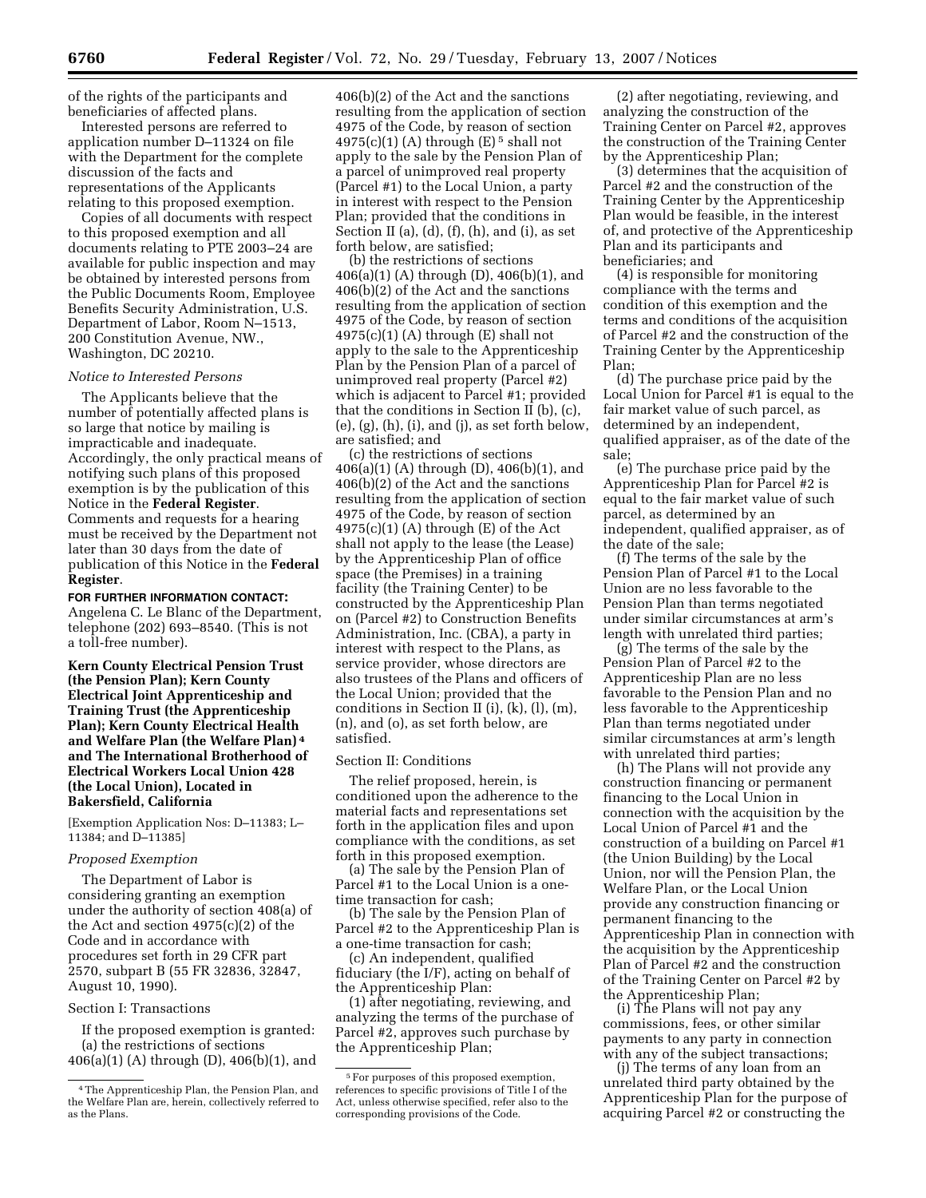of the rights of the participants and beneficiaries of affected plans.

Interested persons are referred to application number D–11324 on file with the Department for the complete discussion of the facts and representations of the Applicants relating to this proposed exemption.

Copies of all documents with respect to this proposed exemption and all documents relating to PTE 2003–24 are available for public inspection and may be obtained by interested persons from the Public Documents Room, Employee Benefits Security Administration, U.S. Department of Labor, Room N–1513, 200 Constitution Avenue, NW., Washington, DC 20210.

#### *Notice to Interested Persons*

The Applicants believe that the number of potentially affected plans is so large that notice by mailing is impracticable and inadequate. Accordingly, the only practical means of notifying such plans of this proposed exemption is by the publication of this Notice in the **Federal Register**. Comments and requests for a hearing must be received by the Department not later than 30 days from the date of publication of this Notice in the **Federal Register**.

**FOR FURTHER INFORMATION CONTACT:**  Angelena C. Le Blanc of the Department, telephone (202) 693–8540. (This is not a toll-free number).

**Kern County Electrical Pension Trust (the Pension Plan); Kern County Electrical Joint Apprenticeship and Training Trust (the Apprenticeship Plan); Kern County Electrical Health and Welfare Plan (the Welfare Plan) 4 and The International Brotherhood of Electrical Workers Local Union 428 (the Local Union), Located in Bakersfield, California** 

[Exemption Application Nos: D–11383; L– 11384; and D–11385]

# *Proposed Exemption*

The Department of Labor is considering granting an exemption under the authority of section 408(a) of the Act and section 4975(c)(2) of the Code and in accordance with procedures set forth in 29 CFR part 2570, subpart B (55 FR 32836, 32847, August 10, 1990).

#### Section I: Transactions

If the proposed exemption is granted: (a) the restrictions of sections 406(a)(1) (A) through (D), 406(b)(1), and

406(b)(2) of the Act and the sanctions resulting from the application of section 4975 of the Code, by reason of section  $4975(c)(1)$  (A) through (E)<sup>5</sup> shall not apply to the sale by the Pension Plan of a parcel of unimproved real property (Parcel #1) to the Local Union, a party in interest with respect to the Pension Plan; provided that the conditions in Section II (a), (d), (f), (h), and (i), as set forth below, are satisfied;

(b) the restrictions of sections 406(a)(1) (A) through (D), 406(b)(1), and 406(b)(2) of the Act and the sanctions resulting from the application of section 4975 of the Code, by reason of section  $4975(c)(1)$  (A) through (E) shall not apply to the sale to the Apprenticeship Plan by the Pension Plan of a parcel of unimproved real property (Parcel #2) which is adjacent to Parcel #1; provided that the conditions in Section II (b), (c),  $(e)$ ,  $(g)$ ,  $(h)$ ,  $(i)$ , and  $(j)$ , as set forth below, are satisfied; and

(c) the restrictions of sections 406(a)(1) (A) through (D), 406(b)(1), and 406(b)(2) of the Act and the sanctions resulting from the application of section 4975 of the Code, by reason of section  $4975(c)(1)$  (A) through (E) of the Act shall not apply to the lease (the Lease) by the Apprenticeship Plan of office space (the Premises) in a training facility (the Training Center) to be constructed by the Apprenticeship Plan on (Parcel #2) to Construction Benefits Administration, Inc. (CBA), a party in interest with respect to the Plans, as service provider, whose directors are also trustees of the Plans and officers of the Local Union; provided that the conditions in Section II (i), (k), (l), (m), (n), and (o), as set forth below, are satisfied.

#### Section II: Conditions

The relief proposed, herein, is conditioned upon the adherence to the material facts and representations set forth in the application files and upon compliance with the conditions, as set forth in this proposed exemption.

(a) The sale by the Pension Plan of Parcel #1 to the Local Union is a onetime transaction for cash;

(b) The sale by the Pension Plan of Parcel #2 to the Apprenticeship Plan is a one-time transaction for cash;

(c) An independent, qualified fiduciary (the I/F), acting on behalf of the Apprenticeship Plan:

(1) after negotiating, reviewing, and analyzing the terms of the purchase of Parcel #2, approves such purchase by the Apprenticeship Plan;

(2) after negotiating, reviewing, and analyzing the construction of the Training Center on Parcel #2, approves the construction of the Training Center by the Apprenticeship Plan;

(3) determines that the acquisition of Parcel #2 and the construction of the Training Center by the Apprenticeship Plan would be feasible, in the interest of, and protective of the Apprenticeship Plan and its participants and beneficiaries; and

(4) is responsible for monitoring compliance with the terms and condition of this exemption and the terms and conditions of the acquisition of Parcel #2 and the construction of the Training Center by the Apprenticeship Plan;

(d) The purchase price paid by the Local Union for Parcel #1 is equal to the fair market value of such parcel, as determined by an independent, qualified appraiser, as of the date of the sale;

(e) The purchase price paid by the Apprenticeship Plan for Parcel #2 is equal to the fair market value of such parcel, as determined by an independent, qualified appraiser, as of the date of the sale;

(f) The terms of the sale by the Pension Plan of Parcel #1 to the Local Union are no less favorable to the Pension Plan than terms negotiated under similar circumstances at arm's length with unrelated third parties;

(g) The terms of the sale by the Pension Plan of Parcel #2 to the Apprenticeship Plan are no less favorable to the Pension Plan and no less favorable to the Apprenticeship Plan than terms negotiated under similar circumstances at arm's length with unrelated third parties;

(h) The Plans will not provide any construction financing or permanent financing to the Local Union in connection with the acquisition by the Local Union of Parcel #1 and the construction of a building on Parcel #1 (the Union Building) by the Local Union, nor will the Pension Plan, the Welfare Plan, or the Local Union provide any construction financing or permanent financing to the Apprenticeship Plan in connection with the acquisition by the Apprenticeship Plan of Parcel #2 and the construction of the Training Center on Parcel #2 by the Apprenticeship Plan;

(i) The Plans will not pay any commissions, fees, or other similar payments to any party in connection with any of the subject transactions;

(j) The terms of any loan from an unrelated third party obtained by the Apprenticeship Plan for the purpose of acquiring Parcel #2 or constructing the

<sup>4</sup>The Apprenticeship Plan, the Pension Plan, and the Welfare Plan are, herein, collectively referred to as the Plans.

<sup>5</sup>For purposes of this proposed exemption, references to specific provisions of Title I of the Act, unless otherwise specified, refer also to the corresponding provisions of the Code.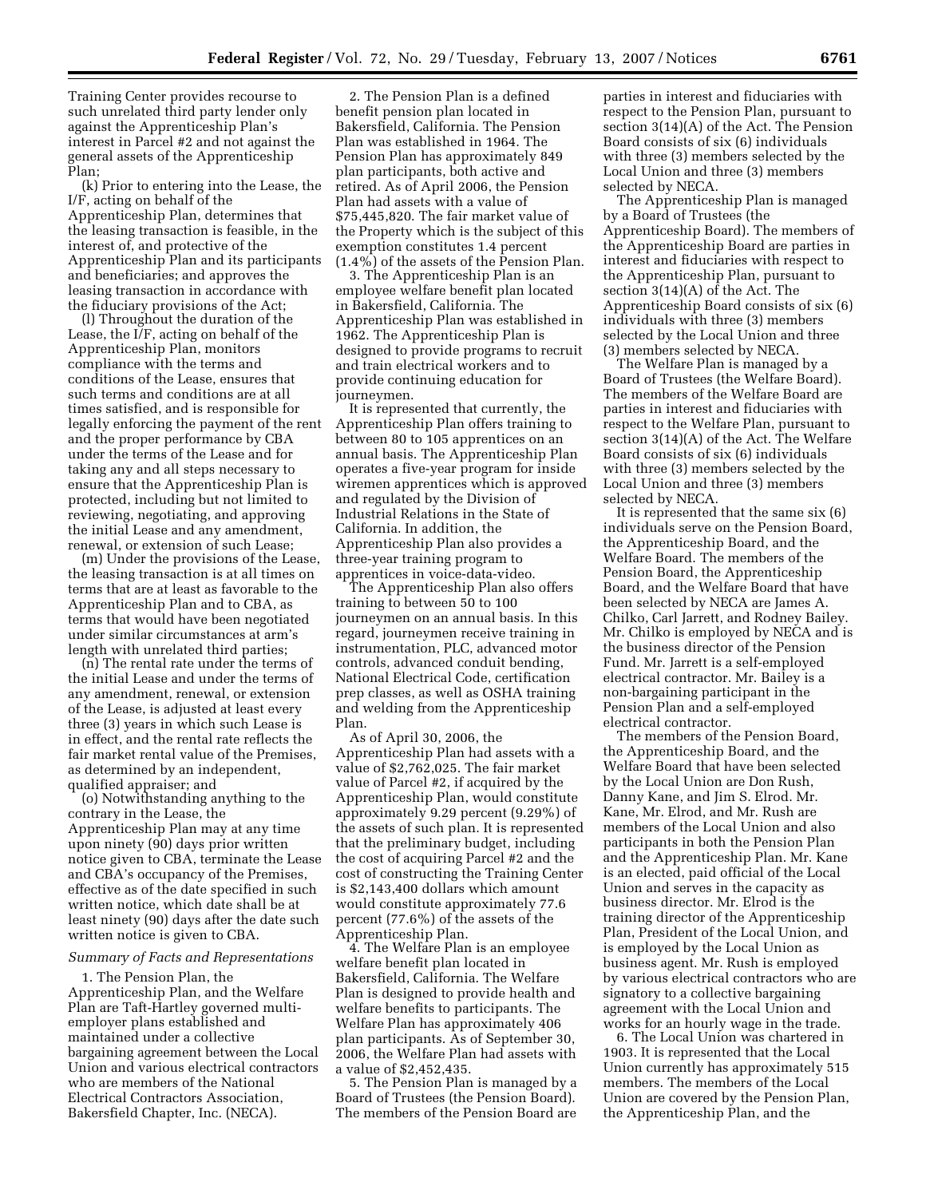Training Center provides recourse to such unrelated third party lender only against the Apprenticeship Plan's interest in Parcel #2 and not against the general assets of the Apprenticeship Plan;

(k) Prior to entering into the Lease, the I/F, acting on behalf of the Apprenticeship Plan, determines that the leasing transaction is feasible, in the interest of, and protective of the Apprenticeship Plan and its participants and beneficiaries; and approves the leasing transaction in accordance with the fiduciary provisions of the Act;

(l) Throughout the duration of the Lease, the I/F, acting on behalf of the Apprenticeship Plan, monitors compliance with the terms and conditions of the Lease, ensures that such terms and conditions are at all times satisfied, and is responsible for legally enforcing the payment of the rent and the proper performance by CBA under the terms of the Lease and for taking any and all steps necessary to ensure that the Apprenticeship Plan is protected, including but not limited to reviewing, negotiating, and approving the initial Lease and any amendment, renewal, or extension of such Lease;

(m) Under the provisions of the Lease, the leasing transaction is at all times on terms that are at least as favorable to the Apprenticeship Plan and to CBA, as terms that would have been negotiated under similar circumstances at arm's length with unrelated third parties;

(n) The rental rate under the terms of the initial Lease and under the terms of any amendment, renewal, or extension of the Lease, is adjusted at least every three (3) years in which such Lease is in effect, and the rental rate reflects the fair market rental value of the Premises, as determined by an independent, qualified appraiser; and

(o) Notwithstanding anything to the contrary in the Lease, the Apprenticeship Plan may at any time upon ninety (90) days prior written notice given to CBA, terminate the Lease and CBA's occupancy of the Premises, effective as of the date specified in such written notice, which date shall be at least ninety (90) days after the date such written notice is given to CBA.

## *Summary of Facts and Representations*

1. The Pension Plan, the Apprenticeship Plan, and the Welfare Plan are Taft-Hartley governed multiemployer plans established and maintained under a collective bargaining agreement between the Local Union and various electrical contractors who are members of the National Electrical Contractors Association, Bakersfield Chapter, Inc. (NECA).

2. The Pension Plan is a defined benefit pension plan located in Bakersfield, California. The Pension Plan was established in 1964. The Pension Plan has approximately 849 plan participants, both active and retired. As of April 2006, the Pension Plan had assets with a value of \$75,445,820. The fair market value of the Property which is the subject of this exemption constitutes 1.4 percent (1.4%) of the assets of the Pension Plan.

3. The Apprenticeship Plan is an employee welfare benefit plan located in Bakersfield, California. The Apprenticeship Plan was established in 1962. The Apprenticeship Plan is designed to provide programs to recruit and train electrical workers and to provide continuing education for journeymen.

It is represented that currently, the Apprenticeship Plan offers training to between 80 to 105 apprentices on an annual basis. The Apprenticeship Plan operates a five-year program for inside wiremen apprentices which is approved and regulated by the Division of Industrial Relations in the State of California. In addition, the Apprenticeship Plan also provides a three-year training program to apprentices in voice-data-video.

The Apprenticeship Plan also offers training to between 50 to 100 journeymen on an annual basis. In this regard, journeymen receive training in instrumentation, PLC, advanced motor controls, advanced conduit bending, National Electrical Code, certification prep classes, as well as OSHA training and welding from the Apprenticeship Plan.

As of April 30, 2006, the Apprenticeship Plan had assets with a value of \$2,762,025. The fair market value of Parcel #2, if acquired by the Apprenticeship Plan, would constitute approximately 9.29 percent (9.29%) of the assets of such plan. It is represented that the preliminary budget, including the cost of acquiring Parcel #2 and the cost of constructing the Training Center is \$2,143,400 dollars which amount would constitute approximately 77.6 percent (77.6%) of the assets of the Apprenticeship Plan.

4. The Welfare Plan is an employee welfare benefit plan located in Bakersfield, California. The Welfare Plan is designed to provide health and welfare benefits to participants. The Welfare Plan has approximately 406 plan participants. As of September 30, 2006, the Welfare Plan had assets with a value of \$2,452,435.

5. The Pension Plan is managed by a Board of Trustees (the Pension Board). The members of the Pension Board are

parties in interest and fiduciaries with respect to the Pension Plan, pursuant to section 3(14)(A) of the Act. The Pension Board consists of six (6) individuals with three (3) members selected by the Local Union and three (3) members selected by NECA.

The Apprenticeship Plan is managed by a Board of Trustees (the Apprenticeship Board). The members of the Apprenticeship Board are parties in interest and fiduciaries with respect to the Apprenticeship Plan, pursuant to section 3(14)(A) of the Act. The Apprenticeship Board consists of six (6) individuals with three (3) members selected by the Local Union and three (3) members selected by NECA.

The Welfare Plan is managed by a Board of Trustees (the Welfare Board). The members of the Welfare Board are parties in interest and fiduciaries with respect to the Welfare Plan, pursuant to section 3(14)(A) of the Act. The Welfare Board consists of six (6) individuals with three (3) members selected by the Local Union and three (3) members selected by NECA.

It is represented that the same six (6) individuals serve on the Pension Board, the Apprenticeship Board, and the Welfare Board. The members of the Pension Board, the Apprenticeship Board, and the Welfare Board that have been selected by NECA are James A. Chilko, Carl Jarrett, and Rodney Bailey. Mr. Chilko is employed by NECA and is the business director of the Pension Fund. Mr. Jarrett is a self-employed electrical contractor. Mr. Bailey is a non-bargaining participant in the Pension Plan and a self-employed electrical contractor.

The members of the Pension Board, the Apprenticeship Board, and the Welfare Board that have been selected by the Local Union are Don Rush, Danny Kane, and Jim S. Elrod. Mr. Kane, Mr. Elrod, and Mr. Rush are members of the Local Union and also participants in both the Pension Plan and the Apprenticeship Plan. Mr. Kane is an elected, paid official of the Local Union and serves in the capacity as business director. Mr. Elrod is the training director of the Apprenticeship Plan, President of the Local Union, and is employed by the Local Union as business agent. Mr. Rush is employed by various electrical contractors who are signatory to a collective bargaining agreement with the Local Union and works for an hourly wage in the trade.

6. The Local Union was chartered in 1903. It is represented that the Local Union currently has approximately 515 members. The members of the Local Union are covered by the Pension Plan, the Apprenticeship Plan, and the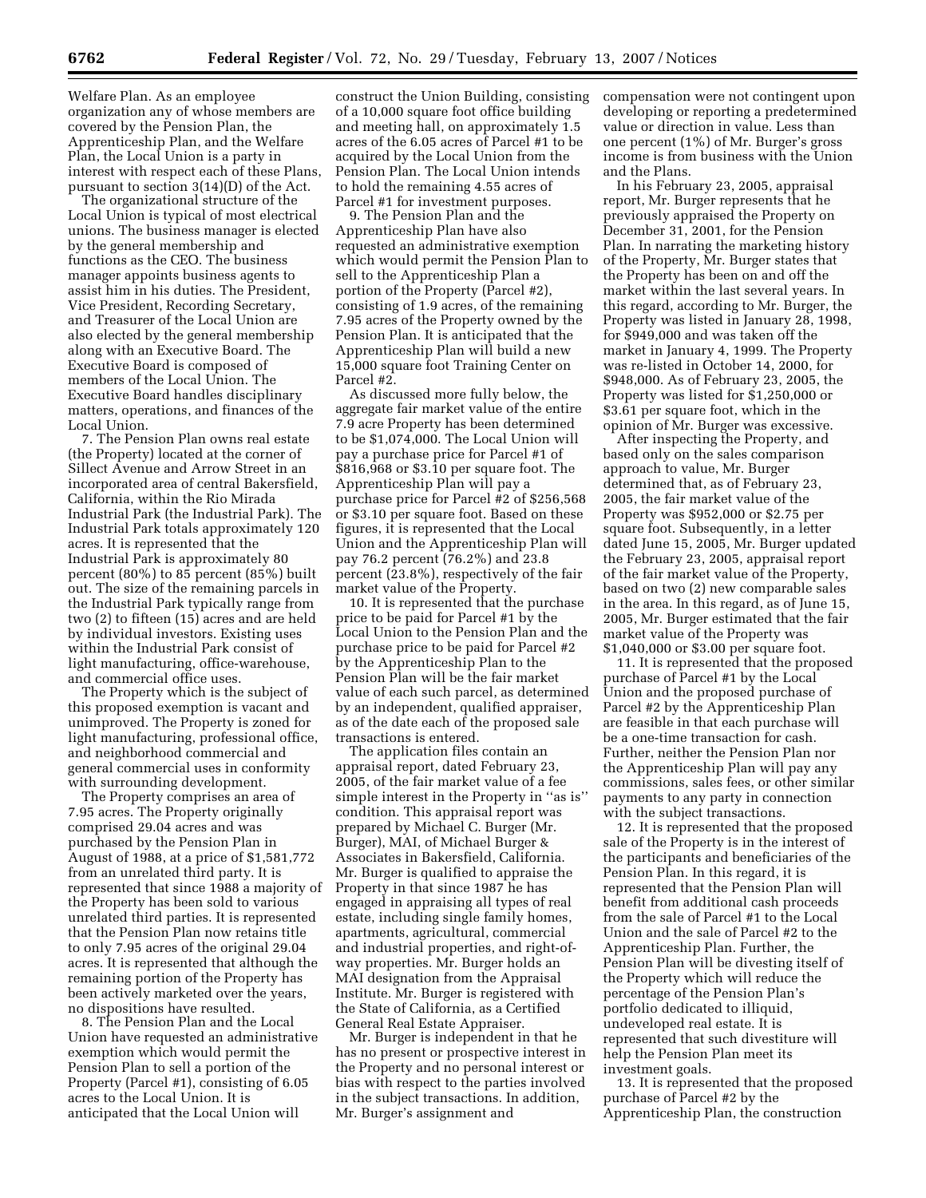Welfare Plan. As an employee organization any of whose members are covered by the Pension Plan, the Apprenticeship Plan, and the Welfare Plan, the Local Union is a party in interest with respect each of these Plans, pursuant to section 3(14)(D) of the Act.

The organizational structure of the Local Union is typical of most electrical unions. The business manager is elected by the general membership and functions as the CEO. The business manager appoints business agents to assist him in his duties. The President, Vice President, Recording Secretary, and Treasurer of the Local Union are also elected by the general membership along with an Executive Board. The Executive Board is composed of members of the Local Union. The Executive Board handles disciplinary matters, operations, and finances of the Local Union.

7. The Pension Plan owns real estate (the Property) located at the corner of Sillect Avenue and Arrow Street in an incorporated area of central Bakersfield, California, within the Rio Mirada Industrial Park (the Industrial Park). The Industrial Park totals approximately 120 acres. It is represented that the Industrial Park is approximately 80 percent (80%) to 85 percent (85%) built out. The size of the remaining parcels in the Industrial Park typically range from two (2) to fifteen (15) acres and are held by individual investors. Existing uses within the Industrial Park consist of light manufacturing, office-warehouse, and commercial office uses.

The Property which is the subject of this proposed exemption is vacant and unimproved. The Property is zoned for light manufacturing, professional office, and neighborhood commercial and general commercial uses in conformity with surrounding development.

The Property comprises an area of 7.95 acres. The Property originally comprised 29.04 acres and was purchased by the Pension Plan in August of 1988, at a price of \$1,581,772 from an unrelated third party. It is represented that since 1988 a majority of the Property has been sold to various unrelated third parties. It is represented that the Pension Plan now retains title to only 7.95 acres of the original 29.04 acres. It is represented that although the remaining portion of the Property has been actively marketed over the years, no dispositions have resulted.

8. The Pension Plan and the Local Union have requested an administrative exemption which would permit the Pension Plan to sell a portion of the Property (Parcel #1), consisting of 6.05 acres to the Local Union. It is anticipated that the Local Union will

construct the Union Building, consisting of a 10,000 square foot office building and meeting hall, on approximately 1.5 acres of the 6.05 acres of Parcel #1 to be acquired by the Local Union from the Pension Plan. The Local Union intends to hold the remaining 4.55 acres of Parcel #1 for investment purposes.

9. The Pension Plan and the Apprenticeship Plan have also requested an administrative exemption which would permit the Pension Plan to sell to the Apprenticeship Plan a portion of the Property (Parcel #2), consisting of 1.9 acres, of the remaining 7.95 acres of the Property owned by the Pension Plan. It is anticipated that the Apprenticeship Plan will build a new 15,000 square foot Training Center on Parcel #2.

As discussed more fully below, the aggregate fair market value of the entire 7.9 acre Property has been determined to be \$1,074,000. The Local Union will pay a purchase price for Parcel #1 of \$816,968 or \$3.10 per square foot. The Apprenticeship Plan will pay a purchase price for Parcel #2 of \$256,568 or \$3.10 per square foot. Based on these figures, it is represented that the Local Union and the Apprenticeship Plan will pay 76.2 percent (76.2%) and 23.8 percent (23.8%), respectively of the fair market value of the Property.

10. It is represented that the purchase price to be paid for Parcel #1 by the Local Union to the Pension Plan and the purchase price to be paid for Parcel #2 by the Apprenticeship Plan to the Pension Plan will be the fair market value of each such parcel, as determined by an independent, qualified appraiser, as of the date each of the proposed sale transactions is entered.

The application files contain an appraisal report, dated February 23, 2005, of the fair market value of a fee simple interest in the Property in ''as is'' condition. This appraisal report was prepared by Michael C. Burger (Mr. Burger), MAI, of Michael Burger & Associates in Bakersfield, California. Mr. Burger is qualified to appraise the Property in that since 1987 he has engaged in appraising all types of real estate, including single family homes, apartments, agricultural, commercial and industrial properties, and right-ofway properties. Mr. Burger holds an MAI designation from the Appraisal Institute. Mr. Burger is registered with the State of California, as a Certified General Real Estate Appraiser.

Mr. Burger is independent in that he has no present or prospective interest in the Property and no personal interest or bias with respect to the parties involved in the subject transactions. In addition, Mr. Burger's assignment and

compensation were not contingent upon developing or reporting a predetermined value or direction in value. Less than one percent (1%) of Mr. Burger's gross income is from business with the Union and the Plans.

In his February 23, 2005, appraisal report, Mr. Burger represents that he previously appraised the Property on December 31, 2001, for the Pension Plan. In narrating the marketing history of the Property, Mr. Burger states that the Property has been on and off the market within the last several years. In this regard, according to Mr. Burger, the Property was listed in January 28, 1998, for \$949,000 and was taken off the market in January 4, 1999. The Property was re-listed in October 14, 2000, for \$948,000. As of February 23, 2005, the Property was listed for \$1,250,000 or \$3.61 per square foot, which in the opinion of Mr. Burger was excessive.

After inspecting the Property, and based only on the sales comparison approach to value, Mr. Burger determined that, as of February 23, 2005, the fair market value of the Property was \$952,000 or \$2.75 per square foot. Subsequently, in a letter dated June 15, 2005, Mr. Burger updated the February 23, 2005, appraisal report of the fair market value of the Property, based on two (2) new comparable sales in the area. In this regard, as of June 15, 2005, Mr. Burger estimated that the fair market value of the Property was \$1,040,000 or \$3.00 per square foot.

11. It is represented that the proposed purchase of Parcel #1 by the Local Union and the proposed purchase of Parcel #2 by the Apprenticeship Plan are feasible in that each purchase will be a one-time transaction for cash. Further, neither the Pension Plan nor the Apprenticeship Plan will pay any commissions, sales fees, or other similar payments to any party in connection with the subject transactions.

12. It is represented that the proposed sale of the Property is in the interest of the participants and beneficiaries of the Pension Plan. In this regard, it is represented that the Pension Plan will benefit from additional cash proceeds from the sale of Parcel #1 to the Local Union and the sale of Parcel #2 to the Apprenticeship Plan. Further, the Pension Plan will be divesting itself of the Property which will reduce the percentage of the Pension Plan's portfolio dedicated to illiquid, undeveloped real estate. It is represented that such divestiture will help the Pension Plan meet its investment goals.

13. It is represented that the proposed purchase of Parcel #2 by the Apprenticeship Plan, the construction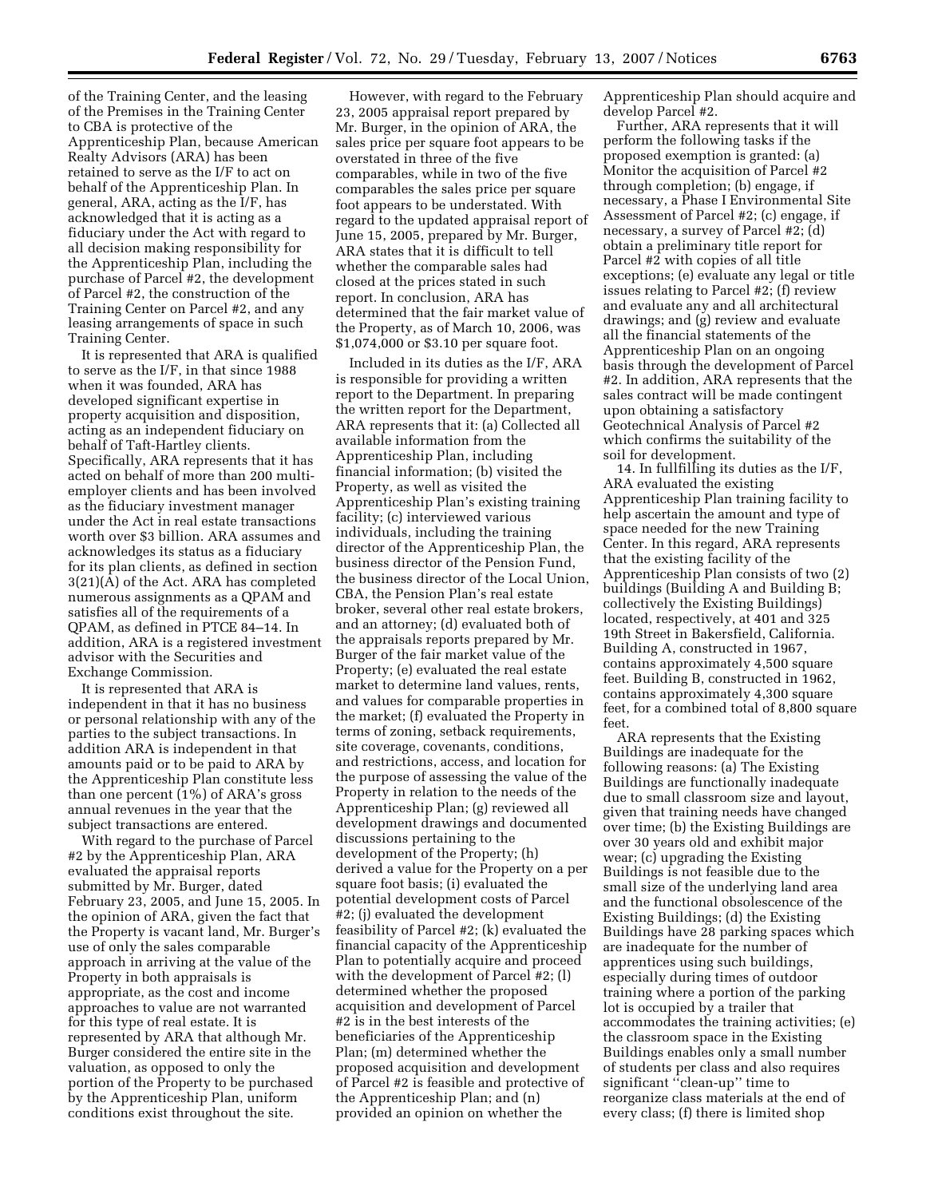of the Training Center, and the leasing of the Premises in the Training Center to CBA is protective of the Apprenticeship Plan, because American Realty Advisors (ARA) has been retained to serve as the I/F to act on behalf of the Apprenticeship Plan. In general, ARA, acting as the I/F, has acknowledged that it is acting as a fiduciary under the Act with regard to all decision making responsibility for the Apprenticeship Plan, including the purchase of Parcel #2, the development of Parcel #2, the construction of the Training Center on Parcel #2, and any leasing arrangements of space in such Training Center.

It is represented that ARA is qualified to serve as the I/F, in that since 1988 when it was founded, ARA has developed significant expertise in property acquisition and disposition, acting as an independent fiduciary on behalf of Taft-Hartley clients. Specifically, ARA represents that it has acted on behalf of more than 200 multiemployer clients and has been involved as the fiduciary investment manager under the Act in real estate transactions worth over \$3 billion. ARA assumes and acknowledges its status as a fiduciary for its plan clients, as defined in section 3(21)(A) of the Act. ARA has completed numerous assignments as a QPAM and satisfies all of the requirements of a QPAM, as defined in PTCE 84–14. In addition, ARA is a registered investment advisor with the Securities and Exchange Commission.

It is represented that ARA is independent in that it has no business or personal relationship with any of the parties to the subject transactions. In addition ARA is independent in that amounts paid or to be paid to ARA by the Apprenticeship Plan constitute less than one percent (1%) of ARA's gross annual revenues in the year that the subject transactions are entered.

With regard to the purchase of Parcel #2 by the Apprenticeship Plan, ARA evaluated the appraisal reports submitted by Mr. Burger, dated February 23, 2005, and June 15, 2005. In the opinion of ARA, given the fact that the Property is vacant land, Mr. Burger's use of only the sales comparable approach in arriving at the value of the Property in both appraisals is appropriate, as the cost and income approaches to value are not warranted for this type of real estate. It is represented by ARA that although Mr. Burger considered the entire site in the valuation, as opposed to only the portion of the Property to be purchased by the Apprenticeship Plan, uniform conditions exist throughout the site.

However, with regard to the February 23, 2005 appraisal report prepared by Mr. Burger, in the opinion of ARA, the sales price per square foot appears to be overstated in three of the five comparables, while in two of the five comparables the sales price per square foot appears to be understated. With regard to the updated appraisal report of June 15, 2005, prepared by Mr. Burger, ARA states that it is difficult to tell whether the comparable sales had closed at the prices stated in such report. In conclusion, ARA has determined that the fair market value of the Property, as of March 10, 2006, was \$1,074,000 or \$3.10 per square foot.

Included in its duties as the I/F, ARA is responsible for providing a written report to the Department. In preparing the written report for the Department, ARA represents that it: (a) Collected all available information from the Apprenticeship Plan, including financial information; (b) visited the Property, as well as visited the Apprenticeship Plan's existing training facility; (c) interviewed various individuals, including the training director of the Apprenticeship Plan, the business director of the Pension Fund, the business director of the Local Union, CBA, the Pension Plan's real estate broker, several other real estate brokers, and an attorney; (d) evaluated both of the appraisals reports prepared by Mr. Burger of the fair market value of the Property; (e) evaluated the real estate market to determine land values, rents, and values for comparable properties in the market; (f) evaluated the Property in terms of zoning, setback requirements, site coverage, covenants, conditions, and restrictions, access, and location for the purpose of assessing the value of the Property in relation to the needs of the Apprenticeship Plan; (g) reviewed all development drawings and documented discussions pertaining to the development of the Property; (h) derived a value for the Property on a per square foot basis; (i) evaluated the potential development costs of Parcel #2; (j) evaluated the development feasibility of Parcel #2; (k) evaluated the financial capacity of the Apprenticeship Plan to potentially acquire and proceed with the development of Parcel #2; (l) determined whether the proposed acquisition and development of Parcel #2 is in the best interests of the beneficiaries of the Apprenticeship Plan; (m) determined whether the proposed acquisition and development of Parcel #2 is feasible and protective of the Apprenticeship Plan; and (n) provided an opinion on whether the

Apprenticeship Plan should acquire and develop Parcel #2.

Further, ARA represents that it will perform the following tasks if the proposed exemption is granted: (a) Monitor the acquisition of Parcel #2 through completion; (b) engage, if necessary, a Phase I Environmental Site Assessment of Parcel #2; (c) engage, if necessary, a survey of Parcel #2; (d) obtain a preliminary title report for Parcel #2 with copies of all title exceptions; (e) evaluate any legal or title issues relating to Parcel #2; (f) review and evaluate any and all architectural drawings; and (g) review and evaluate all the financial statements of the Apprenticeship Plan on an ongoing basis through the development of Parcel #2. In addition, ARA represents that the sales contract will be made contingent upon obtaining a satisfactory Geotechnical Analysis of Parcel #2 which confirms the suitability of the soil for development.

14. In fullfilling its duties as the I/F, ARA evaluated the existing Apprenticeship Plan training facility to help ascertain the amount and type of space needed for the new Training Center. In this regard, ARA represents that the existing facility of the Apprenticeship Plan consists of two (2) buildings (Building A and Building B; collectively the Existing Buildings) located, respectively, at 401 and 325 19th Street in Bakersfield, California. Building A, constructed in 1967, contains approximately 4,500 square feet. Building B, constructed in 1962, contains approximately 4,300 square feet, for a combined total of 8,800 square feet.

ARA represents that the Existing Buildings are inadequate for the following reasons: (a) The Existing Buildings are functionally inadequate due to small classroom size and layout, given that training needs have changed over time; (b) the Existing Buildings are over 30 years old and exhibit major wear; (c) upgrading the Existing Buildings is not feasible due to the small size of the underlying land area and the functional obsolescence of the Existing Buildings; (d) the Existing Buildings have 28 parking spaces which are inadequate for the number of apprentices using such buildings, especially during times of outdoor training where a portion of the parking lot is occupied by a trailer that accommodates the training activities; (e) the classroom space in the Existing Buildings enables only a small number of students per class and also requires significant ''clean-up'' time to reorganize class materials at the end of every class; (f) there is limited shop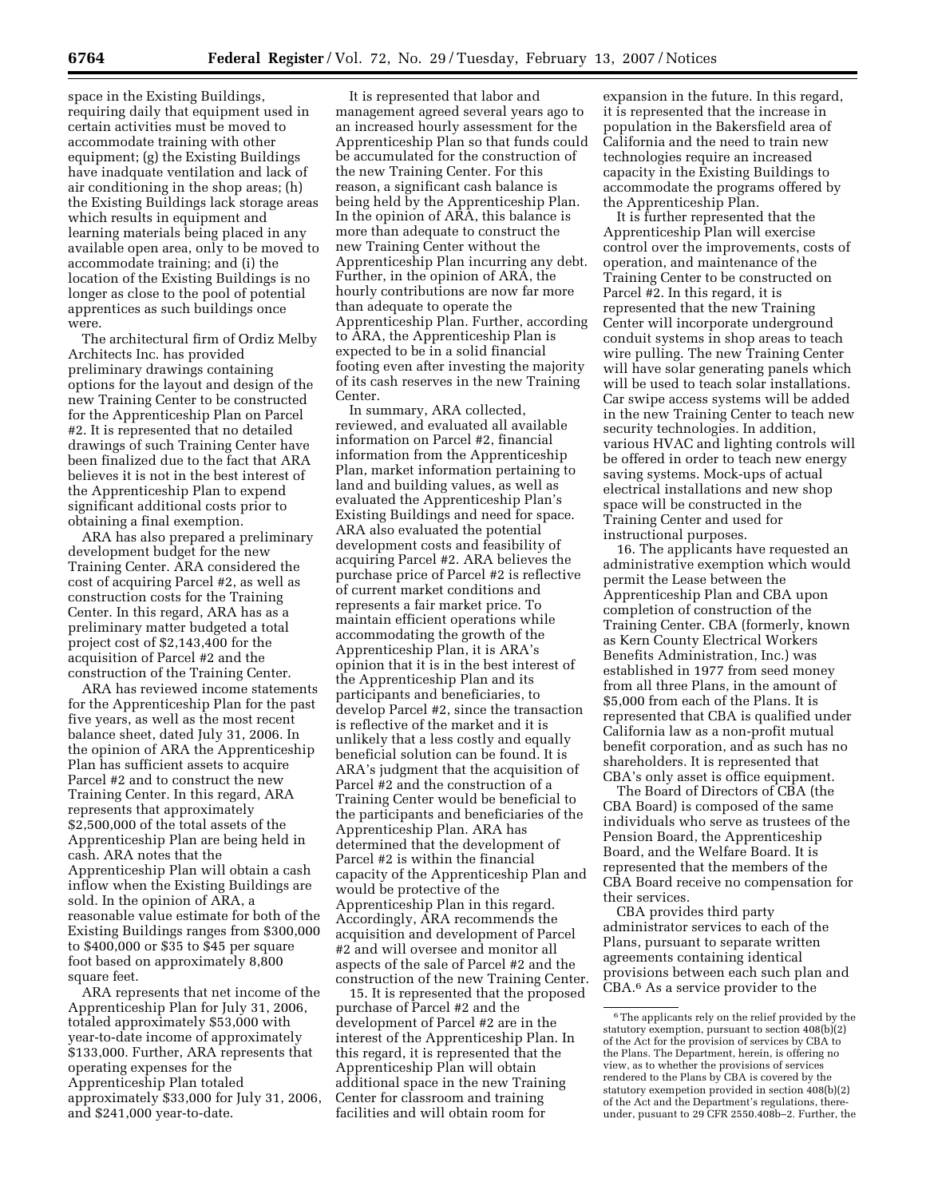space in the Existing Buildings, requiring daily that equipment used in certain activities must be moved to accommodate training with other equipment; (g) the Existing Buildings have inadquate ventilation and lack of air conditioning in the shop areas; (h) the Existing Buildings lack storage areas which results in equipment and learning materials being placed in any available open area, only to be moved to accommodate training; and (i) the location of the Existing Buildings is no longer as close to the pool of potential apprentices as such buildings once were.

The architectural firm of Ordiz Melby Architects Inc. has provided preliminary drawings containing options for the layout and design of the new Training Center to be constructed for the Apprenticeship Plan on Parcel #2. It is represented that no detailed drawings of such Training Center have been finalized due to the fact that ARA believes it is not in the best interest of the Apprenticeship Plan to expend significant additional costs prior to obtaining a final exemption.

ARA has also prepared a preliminary development budget for the new Training Center. ARA considered the cost of acquiring Parcel #2, as well as construction costs for the Training Center. In this regard, ARA has as a preliminary matter budgeted a total project cost of \$2,143,400 for the acquisition of Parcel #2 and the construction of the Training Center.

ARA has reviewed income statements for the Apprenticeship Plan for the past five years, as well as the most recent balance sheet, dated July 31, 2006. In the opinion of ARA the Apprenticeship Plan has sufficient assets to acquire Parcel #2 and to construct the new Training Center. In this regard, ARA represents that approximately \$2,500,000 of the total assets of the Apprenticeship Plan are being held in cash. ARA notes that the Apprenticeship Plan will obtain a cash inflow when the Existing Buildings are sold. In the opinion of ARA, a reasonable value estimate for both of the Existing Buildings ranges from \$300,000 to \$400,000 or \$35 to \$45 per square foot based on approximately 8,800 square feet.

ARA represents that net income of the Apprenticeship Plan for July 31, 2006, totaled approximately \$53,000 with year-to-date income of approximately \$133,000. Further, ARA represents that operating expenses for the Apprenticeship Plan totaled approximately \$33,000 for July 31, 2006, and \$241,000 year-to-date.

It is represented that labor and management agreed several years ago to an increased hourly assessment for the Apprenticeship Plan so that funds could be accumulated for the construction of the new Training Center. For this reason, a significant cash balance is being held by the Apprenticeship Plan. In the opinion of ARA, this balance is more than adequate to construct the new Training Center without the Apprenticeship Plan incurring any debt. Further, in the opinion of ARA, the hourly contributions are now far more than adequate to operate the Apprenticeship Plan. Further, according to ARA, the Apprenticeship Plan is expected to be in a solid financial footing even after investing the majority of its cash reserves in the new Training Center.

In summary, ARA collected, reviewed, and evaluated all available information on Parcel #2, financial information from the Apprenticeship Plan, market information pertaining to land and building values, as well as evaluated the Apprenticeship Plan's Existing Buildings and need for space. ARA also evaluated the potential development costs and feasibility of acquiring Parcel #2. ARA believes the purchase price of Parcel #2 is reflective of current market conditions and represents a fair market price. To maintain efficient operations while accommodating the growth of the Apprenticeship Plan, it is ARA's opinion that it is in the best interest of the Apprenticeship Plan and its participants and beneficiaries, to develop Parcel #2, since the transaction is reflective of the market and it is unlikely that a less costly and equally beneficial solution can be found. It is ARA's judgment that the acquisition of Parcel #2 and the construction of a Training Center would be beneficial to the participants and beneficiaries of the Apprenticeship Plan. ARA has determined that the development of Parcel #2 is within the financial capacity of the Apprenticeship Plan and would be protective of the Apprenticeship Plan in this regard. Accordingly, ARA recommends the acquisition and development of Parcel #2 and will oversee and monitor all aspects of the sale of Parcel #2 and the construction of the new Training Center.

15. It is represented that the proposed purchase of Parcel #2 and the development of Parcel #2 are in the interest of the Apprenticeship Plan. In this regard, it is represented that the Apprenticeship Plan will obtain additional space in the new Training Center for classroom and training facilities and will obtain room for

expansion in the future. In this regard, it is represented that the increase in population in the Bakersfield area of California and the need to train new technologies require an increased capacity in the Existing Buildings to accommodate the programs offered by the Apprenticeship Plan.

It is further represented that the Apprenticeship Plan will exercise control over the improvements, costs of operation, and maintenance of the Training Center to be constructed on Parcel #2. In this regard, it is represented that the new Training Center will incorporate underground conduit systems in shop areas to teach wire pulling. The new Training Center will have solar generating panels which will be used to teach solar installations. Car swipe access systems will be added in the new Training Center to teach new security technologies. In addition, various HVAC and lighting controls will be offered in order to teach new energy saving systems. Mock-ups of actual electrical installations and new shop space will be constructed in the Training Center and used for instructional purposes.

16. The applicants have requested an administrative exemption which would permit the Lease between the Apprenticeship Plan and CBA upon completion of construction of the Training Center. CBA (formerly, known as Kern County Electrical Workers Benefits Administration, Inc.) was established in 1977 from seed money from all three Plans, in the amount of \$5,000 from each of the Plans. It is represented that CBA is qualified under California law as a non-profit mutual benefit corporation, and as such has no shareholders. It is represented that CBA's only asset is office equipment.

The Board of Directors of CBA (the CBA Board) is composed of the same individuals who serve as trustees of the Pension Board, the Apprenticeship Board, and the Welfare Board. It is represented that the members of the CBA Board receive no compensation for their services.

CBA provides third party administrator services to each of the Plans, pursuant to separate written agreements containing identical provisions between each such plan and CBA.6 As a service provider to the

<sup>6</sup>The applicants rely on the relief provided by the statutory exemption, pursuant to section 408(b)(2) of the Act for the provision of services by CBA to the Plans. The Department, herein, is offering no view, as to whether the provisions of services rendered to the Plans by CBA is covered by the statutory exempetion provided in section 408(b)(2) of the Act and the Department's regulations, thereunder, pusuant to 29 CFR 2550.408b–2. Further, the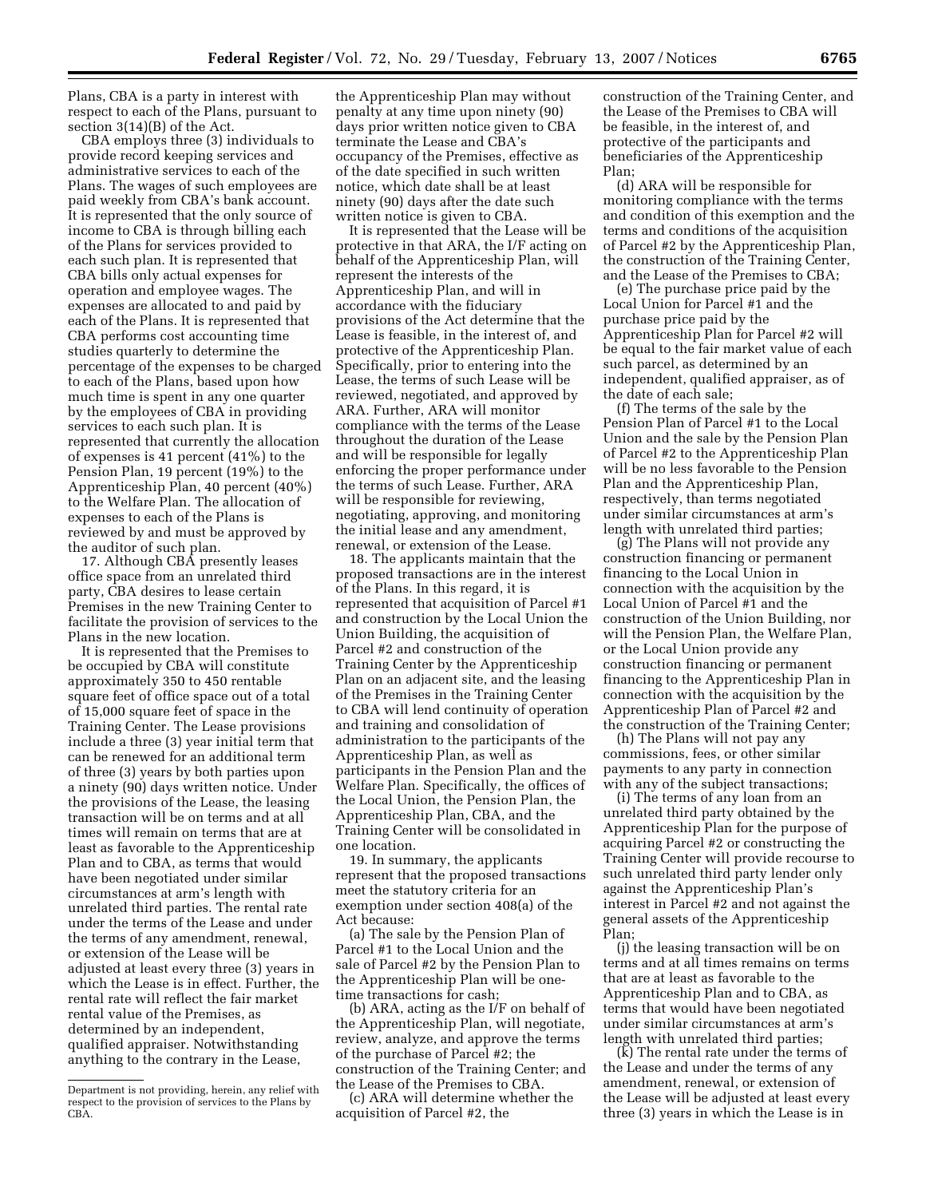Plans, CBA is a party in interest with respect to each of the Plans, pursuant to section 3(14)(B) of the Act.

CBA employs three (3) individuals to provide record keeping services and administrative services to each of the Plans. The wages of such employees are paid weekly from CBA's bank account. It is represented that the only source of income to CBA is through billing each of the Plans for services provided to each such plan. It is represented that CBA bills only actual expenses for operation and employee wages. The expenses are allocated to and paid by each of the Plans. It is represented that CBA performs cost accounting time studies quarterly to determine the percentage of the expenses to be charged to each of the Plans, based upon how much time is spent in any one quarter by the employees of CBA in providing services to each such plan. It is represented that currently the allocation of expenses is 41 percent (41%) to the Pension Plan, 19 percent (19%) to the Apprenticeship Plan, 40 percent (40%) to the Welfare Plan. The allocation of expenses to each of the Plans is reviewed by and must be approved by the auditor of such plan.

17. Although CBA presently leases office space from an unrelated third party, CBA desires to lease certain Premises in the new Training Center to facilitate the provision of services to the Plans in the new location.

It is represented that the Premises to be occupied by CBA will constitute approximately 350 to 450 rentable square feet of office space out of a total of 15,000 square feet of space in the Training Center. The Lease provisions include a three (3) year initial term that can be renewed for an additional term of three (3) years by both parties upon a ninety (90) days written notice. Under the provisions of the Lease, the leasing transaction will be on terms and at all times will remain on terms that are at least as favorable to the Apprenticeship Plan and to CBA, as terms that would have been negotiated under similar circumstances at arm's length with unrelated third parties. The rental rate under the terms of the Lease and under the terms of any amendment, renewal, or extension of the Lease will be adjusted at least every three (3) years in which the Lease is in effect. Further, the rental rate will reflect the fair market rental value of the Premises, as determined by an independent, qualified appraiser. Notwithstanding anything to the contrary in the Lease,

the Apprenticeship Plan may without penalty at any time upon ninety (90) days prior written notice given to CBA terminate the Lease and CBA's occupancy of the Premises, effective as of the date specified in such written notice, which date shall be at least ninety (90) days after the date such written notice is given to CBA.

It is represented that the Lease will be protective in that ARA, the I/F acting on behalf of the Apprenticeship Plan, will represent the interests of the Apprenticeship Plan, and will in accordance with the fiduciary provisions of the Act determine that the Lease is feasible, in the interest of, and protective of the Apprenticeship Plan. Specifically, prior to entering into the Lease, the terms of such Lease will be reviewed, negotiated, and approved by ARA. Further, ARA will monitor compliance with the terms of the Lease throughout the duration of the Lease and will be responsible for legally enforcing the proper performance under the terms of such Lease. Further, ARA will be responsible for reviewing, negotiating, approving, and monitoring the initial lease and any amendment, renewal, or extension of the Lease.

18. The applicants maintain that the proposed transactions are in the interest of the Plans. In this regard, it is represented that acquisition of Parcel #1 and construction by the Local Union the Union Building, the acquisition of Parcel #2 and construction of the Training Center by the Apprenticeship Plan on an adjacent site, and the leasing of the Premises in the Training Center to CBA will lend continuity of operation and training and consolidation of administration to the participants of the Apprenticeship Plan, as well as participants in the Pension Plan and the Welfare Plan. Specifically, the offices of the Local Union, the Pension Plan, the Apprenticeship Plan, CBA, and the Training Center will be consolidated in one location.

19. In summary, the applicants represent that the proposed transactions meet the statutory criteria for an exemption under section 408(a) of the Act because:

(a) The sale by the Pension Plan of Parcel #1 to the Local Union and the sale of Parcel #2 by the Pension Plan to the Apprenticeship Plan will be onetime transactions for cash;

(b) ARA, acting as the I/F on behalf of the Apprenticeship Plan, will negotiate, review, analyze, and approve the terms of the purchase of Parcel #2; the construction of the Training Center; and the Lease of the Premises to CBA.

(c) ARA will determine whether the acquisition of Parcel #2, the

construction of the Training Center, and the Lease of the Premises to CBA will be feasible, in the interest of, and protective of the participants and beneficiaries of the Apprenticeship Plan;

(d) ARA will be responsible for monitoring compliance with the terms and condition of this exemption and the terms and conditions of the acquisition of Parcel #2 by the Apprenticeship Plan, the construction of the Training Center, and the Lease of the Premises to CBA;

(e) The purchase price paid by the Local Union for Parcel #1 and the purchase price paid by the Apprenticeship Plan for Parcel #2 will be equal to the fair market value of each such parcel, as determined by an independent, qualified appraiser, as of the date of each sale;

(f) The terms of the sale by the Pension Plan of Parcel #1 to the Local Union and the sale by the Pension Plan of Parcel #2 to the Apprenticeship Plan will be no less favorable to the Pension Plan and the Apprenticeship Plan, respectively, than terms negotiated under similar circumstances at arm's length with unrelated third parties;

(g) The Plans will not provide any construction financing or permanent financing to the Local Union in connection with the acquisition by the Local Union of Parcel #1 and the construction of the Union Building, nor will the Pension Plan, the Welfare Plan, or the Local Union provide any construction financing or permanent financing to the Apprenticeship Plan in connection with the acquisition by the Apprenticeship Plan of Parcel #2 and the construction of the Training Center;

(h) The Plans will not pay any commissions, fees, or other similar payments to any party in connection with any of the subject transactions;

(i) The terms of any loan from an unrelated third party obtained by the Apprenticeship Plan for the purpose of acquiring Parcel #2 or constructing the Training Center will provide recourse to such unrelated third party lender only against the Apprenticeship Plan's interest in Parcel #2 and not against the general assets of the Apprenticeship Plan;

(j) the leasing transaction will be on terms and at all times remains on terms that are at least as favorable to the Apprenticeship Plan and to CBA, as terms that would have been negotiated under similar circumstances at arm's length with unrelated third parties;

(k) The rental rate under the terms of the Lease and under the terms of any amendment, renewal, or extension of the Lease will be adjusted at least every three (3) years in which the Lease is in

Department is not providing, herein, any relief with respect to the provision of services to the Plans by CBA.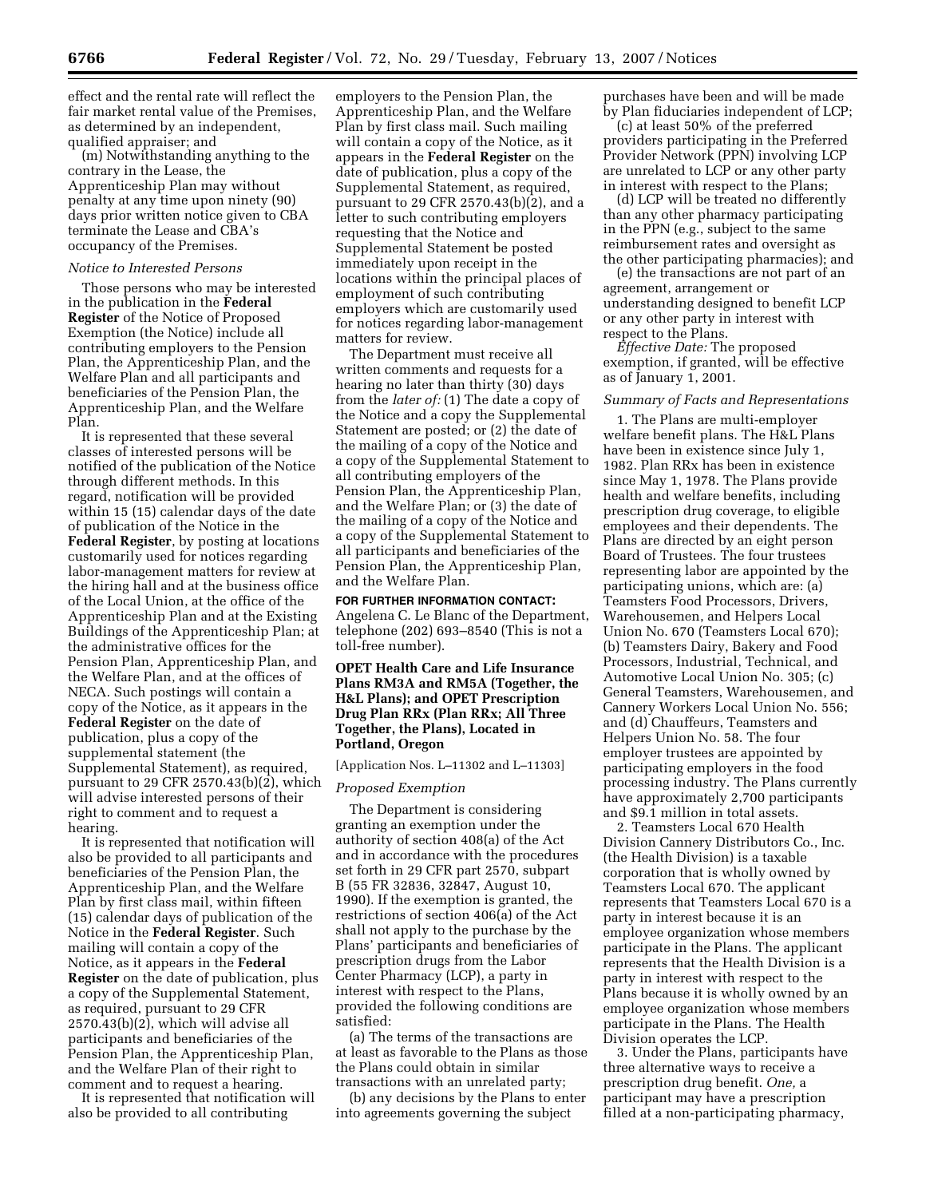effect and the rental rate will reflect the fair market rental value of the Premises, as determined by an independent, qualified appraiser; and

(m) Notwithstanding anything to the contrary in the Lease, the Apprenticeship Plan may without penalty at any time upon ninety (90) days prior written notice given to CBA terminate the Lease and CBA's occupancy of the Premises.

#### *Notice to Interested Persons*

Those persons who may be interested in the publication in the **Federal Register** of the Notice of Proposed Exemption (the Notice) include all contributing employers to the Pension Plan, the Apprenticeship Plan, and the Welfare Plan and all participants and beneficiaries of the Pension Plan, the Apprenticeship Plan, and the Welfare Plan.

It is represented that these several classes of interested persons will be notified of the publication of the Notice through different methods. In this regard, notification will be provided within 15 (15) calendar days of the date of publication of the Notice in the **Federal Register**, by posting at locations customarily used for notices regarding labor-management matters for review at the hiring hall and at the business office of the Local Union, at the office of the Apprenticeship Plan and at the Existing Buildings of the Apprenticeship Plan; at the administrative offices for the Pension Plan, Apprenticeship Plan, and the Welfare Plan, and at the offices of NECA. Such postings will contain a copy of the Notice, as it appears in the **Federal Register** on the date of publication, plus a copy of the supplemental statement (the Supplemental Statement), as required, pursuant to 29 CFR 2570.43(b)(2), which will advise interested persons of their right to comment and to request a hearing.

It is represented that notification will also be provided to all participants and beneficiaries of the Pension Plan, the Apprenticeship Plan, and the Welfare Plan by first class mail, within fifteen (15) calendar days of publication of the Notice in the **Federal Register**. Such mailing will contain a copy of the Notice, as it appears in the **Federal Register** on the date of publication, plus a copy of the Supplemental Statement, as required, pursuant to 29 CFR 2570.43(b)(2), which will advise all participants and beneficiaries of the Pension Plan, the Apprenticeship Plan, and the Welfare Plan of their right to comment and to request a hearing.

It is represented that notification will also be provided to all contributing

employers to the Pension Plan, the Apprenticeship Plan, and the Welfare Plan by first class mail. Such mailing will contain a copy of the Notice, as it appears in the **Federal Register** on the date of publication, plus a copy of the Supplemental Statement, as required, pursuant to 29 CFR 2570.43(b)(2), and a letter to such contributing employers requesting that the Notice and Supplemental Statement be posted immediately upon receipt in the locations within the principal places of employment of such contributing employers which are customarily used for notices regarding labor-management matters for review.

The Department must receive all written comments and requests for a hearing no later than thirty (30) days from the *later of:* (1) The date a copy of the Notice and a copy the Supplemental Statement are posted; or (2) the date of the mailing of a copy of the Notice and a copy of the Supplemental Statement to all contributing employers of the Pension Plan, the Apprenticeship Plan, and the Welfare Plan; or (3) the date of the mailing of a copy of the Notice and a copy of the Supplemental Statement to all participants and beneficiaries of the Pension Plan, the Apprenticeship Plan, and the Welfare Plan.

**FOR FURTHER INFORMATION CONTACT:**  Angelena C. Le Blanc of the Department, telephone (202) 693–8540 (This is not a toll-free number).

**OPET Health Care and Life Insurance Plans RM3A and RM5A (Together, the H&L Plans); and OPET Prescription Drug Plan RRx (Plan RRx; All Three Together, the Plans), Located in Portland, Oregon** 

[Application Nos. L–11302 and L–11303]

# *Proposed Exemption*

The Department is considering granting an exemption under the authority of section 408(a) of the Act and in accordance with the procedures set forth in 29 CFR part 2570, subpart B (55 FR 32836, 32847, August 10, 1990). If the exemption is granted, the restrictions of section 406(a) of the Act shall not apply to the purchase by the Plans' participants and beneficiaries of prescription drugs from the Labor Center Pharmacy (LCP), a party in interest with respect to the Plans, provided the following conditions are satisfied:

(a) The terms of the transactions are at least as favorable to the Plans as those the Plans could obtain in similar transactions with an unrelated party;

(b) any decisions by the Plans to enter into agreements governing the subject

purchases have been and will be made by Plan fiduciaries independent of LCP;

(c) at least 50% of the preferred providers participating in the Preferred Provider Network (PPN) involving LCP are unrelated to LCP or any other party in interest with respect to the Plans;

(d) LCP will be treated no differently than any other pharmacy participating in the PPN (e.g., subject to the same reimbursement rates and oversight as the other participating pharmacies); and

(e) the transactions are not part of an agreement, arrangement or understanding designed to benefit LCP or any other party in interest with respect to the Plans.

*Effective Date:* The proposed exemption, if granted, will be effective as of January 1, 2001.

#### *Summary of Facts and Representations*

1. The Plans are multi-employer welfare benefit plans. The H&L Plans have been in existence since July 1, 1982. Plan RRx has been in existence since May 1, 1978. The Plans provide health and welfare benefits, including prescription drug coverage, to eligible employees and their dependents. The Plans are directed by an eight person Board of Trustees. The four trustees representing labor are appointed by the participating unions, which are: (a) Teamsters Food Processors, Drivers, Warehousemen, and Helpers Local Union No. 670 (Teamsters Local 670); (b) Teamsters Dairy, Bakery and Food Processors, Industrial, Technical, and Automotive Local Union No. 305; (c) General Teamsters, Warehousemen, and Cannery Workers Local Union No. 556; and (d) Chauffeurs, Teamsters and Helpers Union No. 58. The four employer trustees are appointed by participating employers in the food processing industry. The Plans currently have approximately 2,700 participants and \$9.1 million in total assets.

2. Teamsters Local 670 Health Division Cannery Distributors Co., Inc. (the Health Division) is a taxable corporation that is wholly owned by Teamsters Local 670. The applicant represents that Teamsters Local 670 is a party in interest because it is an employee organization whose members participate in the Plans. The applicant represents that the Health Division is a party in interest with respect to the Plans because it is wholly owned by an employee organization whose members participate in the Plans. The Health Division operates the LCP.

3. Under the Plans, participants have three alternative ways to receive a prescription drug benefit. *One,* a participant may have a prescription filled at a non-participating pharmacy,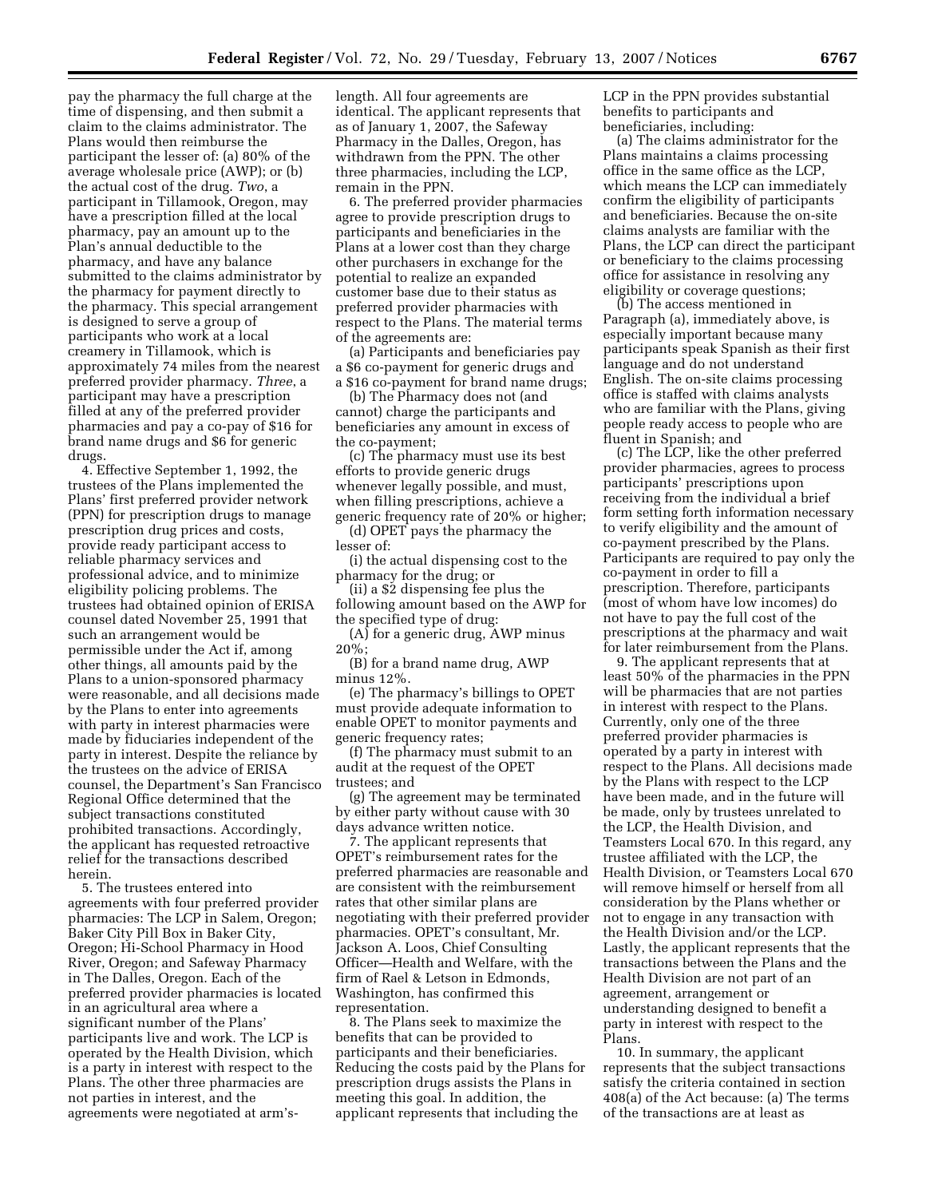pay the pharmacy the full charge at the time of dispensing, and then submit a claim to the claims administrator. The Plans would then reimburse the participant the lesser of: (a) 80% of the average wholesale price (AWP); or (b) the actual cost of the drug. *Two*, a participant in Tillamook, Oregon, may have a prescription filled at the local pharmacy, pay an amount up to the Plan's annual deductible to the pharmacy, and have any balance submitted to the claims administrator by the pharmacy for payment directly to the pharmacy. This special arrangement is designed to serve a group of participants who work at a local creamery in Tillamook, which is approximately 74 miles from the nearest preferred provider pharmacy. *Three*, a participant may have a prescription filled at any of the preferred provider pharmacies and pay a co-pay of \$16 for brand name drugs and \$6 for generic drugs.

4. Effective September 1, 1992, the trustees of the Plans implemented the Plans' first preferred provider network (PPN) for prescription drugs to manage prescription drug prices and costs, provide ready participant access to reliable pharmacy services and professional advice, and to minimize eligibility policing problems. The trustees had obtained opinion of ERISA counsel dated November 25, 1991 that such an arrangement would be permissible under the Act if, among other things, all amounts paid by the Plans to a union-sponsored pharmacy were reasonable, and all decisions made by the Plans to enter into agreements with party in interest pharmacies were made by fiduciaries independent of the party in interest. Despite the reliance by the trustees on the advice of ERISA counsel, the Department's San Francisco Regional Office determined that the subject transactions constituted prohibited transactions. Accordingly, the applicant has requested retroactive relief for the transactions described herein.

5. The trustees entered into agreements with four preferred provider pharmacies: The LCP in Salem, Oregon; Baker City Pill Box in Baker City, Oregon; Hi-School Pharmacy in Hood River, Oregon; and Safeway Pharmacy in The Dalles, Oregon. Each of the preferred provider pharmacies is located in an agricultural area where a significant number of the Plans' participants live and work. The LCP is operated by the Health Division, which is a party in interest with respect to the Plans. The other three pharmacies are not parties in interest, and the agreements were negotiated at arm's-

length. All four agreements are identical. The applicant represents that as of January 1, 2007, the Safeway Pharmacy in the Dalles, Oregon, has withdrawn from the PPN. The other three pharmacies, including the LCP, remain in the PPN.

6. The preferred provider pharmacies agree to provide prescription drugs to participants and beneficiaries in the Plans at a lower cost than they charge other purchasers in exchange for the potential to realize an expanded customer base due to their status as preferred provider pharmacies with respect to the Plans. The material terms of the agreements are:

(a) Participants and beneficiaries pay a \$6 co-payment for generic drugs and a \$16 co-payment for brand name drugs;

(b) The Pharmacy does not (and cannot) charge the participants and beneficiaries any amount in excess of the co-payment;

(c) The pharmacy must use its best efforts to provide generic drugs whenever legally possible, and must, when filling prescriptions, achieve a generic frequency rate of 20% or higher;

(d) OPET pays the pharmacy the lesser of:

(i) the actual dispensing cost to the pharmacy for the drug; or

(ii) a \$2 dispensing fee plus the following amount based on the AWP for the specified type of drug:

 $(A)$  for a generic drug, AWP minus 20%;

(B) for a brand name drug, AWP minus 12%.

(e) The pharmacy's billings to OPET must provide adequate information to enable OPET to monitor payments and generic frequency rates;

(f) The pharmacy must submit to an audit at the request of the OPET trustees; and

(g) The agreement may be terminated by either party without cause with 30 days advance written notice.

7. The applicant represents that OPET's reimbursement rates for the preferred pharmacies are reasonable and are consistent with the reimbursement rates that other similar plans are negotiating with their preferred provider pharmacies. OPET's consultant, Mr. Jackson A. Loos, Chief Consulting Officer—Health and Welfare, with the firm of Rael & Letson in Edmonds, Washington, has confirmed this representation.

8. The Plans seek to maximize the benefits that can be provided to participants and their beneficiaries. Reducing the costs paid by the Plans for prescription drugs assists the Plans in meeting this goal. In addition, the applicant represents that including the

LCP in the PPN provides substantial benefits to participants and beneficiaries, including:

(a) The claims administrator for the Plans maintains a claims processing office in the same office as the LCP, which means the LCP can immediately confirm the eligibility of participants and beneficiaries. Because the on-site claims analysts are familiar with the Plans, the LCP can direct the participant or beneficiary to the claims processing office for assistance in resolving any eligibility or coverage questions;

(b) The access mentioned in Paragraph (a), immediately above, is especially important because many participants speak Spanish as their first language and do not understand English. The on-site claims processing office is staffed with claims analysts who are familiar with the Plans, giving people ready access to people who are fluent in Spanish; and

(c) The LCP, like the other preferred provider pharmacies, agrees to process participants' prescriptions upon receiving from the individual a brief form setting forth information necessary to verify eligibility and the amount of co-payment prescribed by the Plans. Participants are required to pay only the co-payment in order to fill a prescription. Therefore, participants (most of whom have low incomes) do not have to pay the full cost of the prescriptions at the pharmacy and wait for later reimbursement from the Plans.

9. The applicant represents that at least 50% of the pharmacies in the PPN will be pharmacies that are not parties in interest with respect to the Plans. Currently, only one of the three preferred provider pharmacies is operated by a party in interest with respect to the Plans. All decisions made by the Plans with respect to the LCP have been made, and in the future will be made, only by trustees unrelated to the LCP, the Health Division, and Teamsters Local 670. In this regard, any trustee affiliated with the LCP, the Health Division, or Teamsters Local 670 will remove himself or herself from all consideration by the Plans whether or not to engage in any transaction with the Health Division and/or the LCP. Lastly, the applicant represents that the transactions between the Plans and the Health Division are not part of an agreement, arrangement or understanding designed to benefit a party in interest with respect to the Plans.

10. In summary, the applicant represents that the subject transactions satisfy the criteria contained in section 408(a) of the Act because: (a) The terms of the transactions are at least as